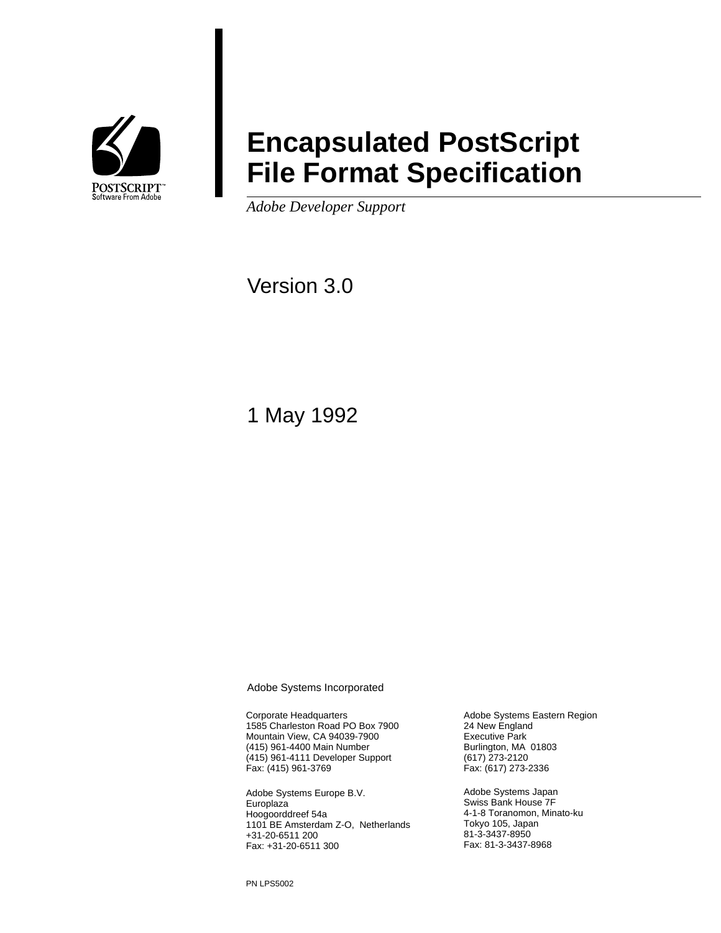

# **Encapsulated PostScript File Format Specification**

*Adobe Developer Support*

Version 3.0

1 May 1992

Adobe Systems Incorporated

Corporate Headquarters 1585 Charleston Road PO Box 7900 Mountain View, CA 94039-7900 (415) 961-4400 Main Number (415) 961-4111 Developer Support Fax: (415) 961-3769

Adobe Systems Europe B.V. **Europlaza** Hoogoorddreef 54a 1101 BE Amsterdam Z-O, Netherlands +31-20-6511 200 Fax: +31-20-6511 300

Adobe Systems Eastern Region 24 New England Executive Park Burlington, MA 01803 (617) 273-2120 Fax: (617) 273-2336

Adobe Systems Japan Swiss Bank House 7F 4-1-8 Toranomon, Minato-ku Tokyo 105, Japan 81-3-3437-8950 Fax: 81-3-3437-8968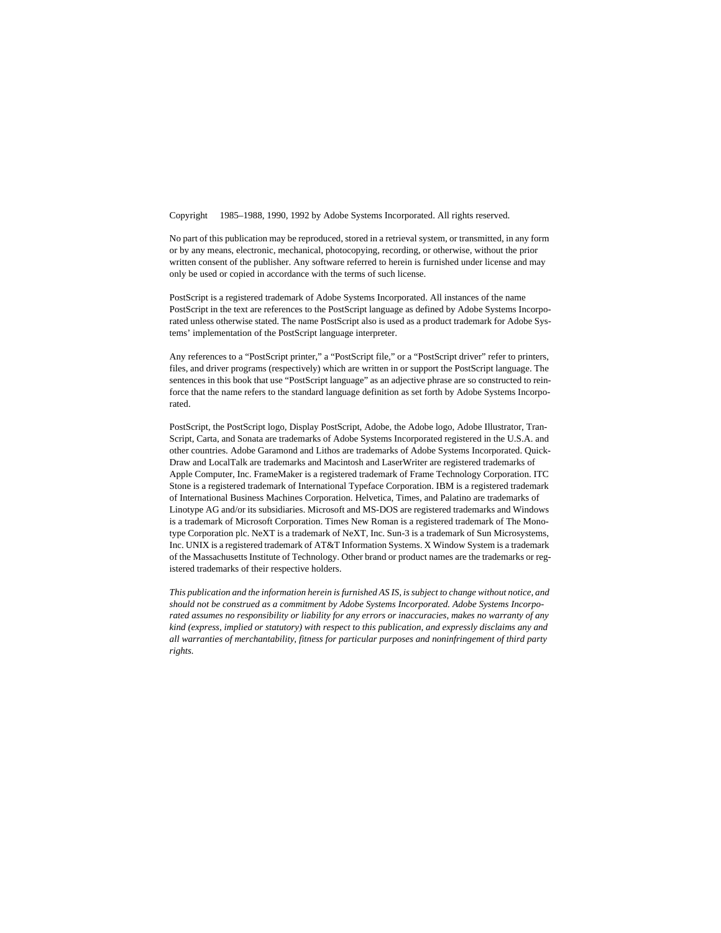Copyright 1985–1988, 1990, 1992 by Adobe Systems Incorporated. All rights reserved.

No part of this publication may be reproduced, stored in a retrieval system, or transmitted, in any form or by any means, electronic, mechanical, photocopying, recording, or otherwise, without the prior written consent of the publisher. Any software referred to herein is furnished under license and may only be used or copied in accordance with the terms of such license.

PostScript is a registered trademark of Adobe Systems Incorporated. All instances of the name PostScript in the text are references to the PostScript language as defined by Adobe Systems Incorporated unless otherwise stated. The name PostScript also is used as a product trademark for Adobe Systems' implementation of the PostScript language interpreter.

Any references to a "PostScript printer," a "PostScript file," or a "PostScript driver" refer to printers, files, and driver programs (respectively) which are written in or support the PostScript language. The sentences in this book that use "PostScript language" as an adjective phrase are so constructed to reinforce that the name refers to the standard language definition as set forth by Adobe Systems Incorporated.

PostScript, the PostScript logo, Display PostScript, Adobe, the Adobe logo, Adobe Illustrator, Tran-Script, Carta, and Sonata are trademarks of Adobe Systems Incorporated registered in the U.S.A. and other countries. Adobe Garamond and Lithos are trademarks of Adobe Systems Incorporated. Quick-Draw and LocalTalk are trademarks and Macintosh and LaserWriter are registered trademarks of Apple Computer, Inc. FrameMaker is a registered trademark of Frame Technology Corporation. ITC Stone is a registered trademark of International Typeface Corporation. IBM is a registered trademark of International Business Machines Corporation. Helvetica, Times, and Palatino are trademarks of Linotype AG and/or its subsidiaries. Microsoft and MS-DOS are registered trademarks and Windows is a trademark of Microsoft Corporation. Times New Roman is a registered trademark of The Monotype Corporation plc. NeXT is a trademark of NeXT, Inc. Sun-3 is a trademark of Sun Microsystems, Inc. UNIX is a registered trademark of AT&T Information Systems. X Window System is a trademark of the Massachusetts Institute of Technology. Other brand or product names are the trademarks or registered trademarks of their respective holders.

*This publication and the information herein is furnished AS IS, is subject to change without notice, and should not be construed as a commitment by Adobe Systems Incorporated. Adobe Systems Incorporated assumes no responsibility or liability for any errors or inaccuracies, makes no warranty of any kind (express, implied or statutory) with respect to this publication, and expressly disclaims any and all warranties of merchantability, fitness for particular purposes and noninfringement of third party rights.*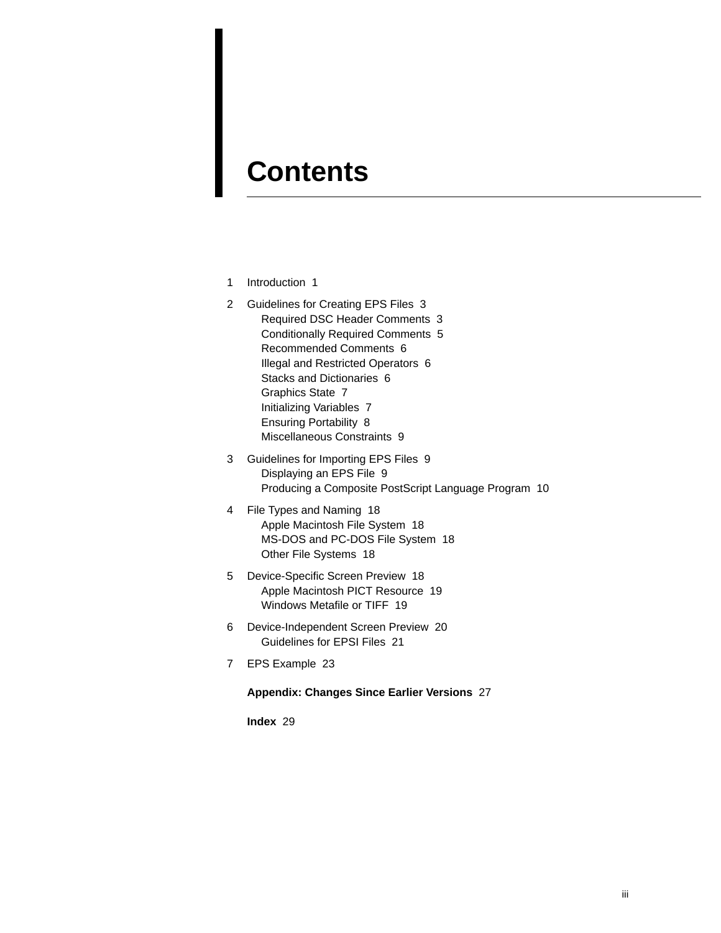# **Contents**

- 1 [Introduction 1](#page-4-0)
- 2 [Guidelines for Creating EPS Files 3](#page-6-0) [Required DSC Header Comments 3](#page-6-0) [Conditionally Required Comments 5](#page-8-0) [Recommended Comments 6](#page-9-0) [Illegal and Restricted Operators 6](#page-9-0) [Stacks and Dictionaries 6](#page-9-0) [Graphics State 7](#page-10-0) [Initializing Variables 7](#page-10-0) [Ensuring Portability 8](#page-11-0) [Miscellaneous Constraints 9](#page-12-0)
- 3 [Guidelines for Importing EPS Files 9](#page-12-0) [Displaying an EPS File 9](#page-12-0) [Producing a Composite PostScript Language Program 10](#page-13-0)
- 4 [File Types and Naming 18](#page-21-0) [Apple Macintosh File System 18](#page-21-0) [MS-DOS and PC-DOS File System 18](#page-21-0) [Other File Systems 18](#page-21-0)
- 5 [Device-Specific Screen Preview 18](#page-21-0) [Apple Macintosh PICT Resource 19](#page-22-0) [Windows Metafile or TIFF 19](#page-22-0)
- 6 [Device-Independent Screen Preview 20](#page-23-0) [Guidelines for EPSI Files 21](#page-24-0)
- 7 [EPS Example 23](#page-26-0)

## **[Appendix: Changes Since Earlier Versions](#page-30-0)** 27

**[Index](#page-32-0)** 29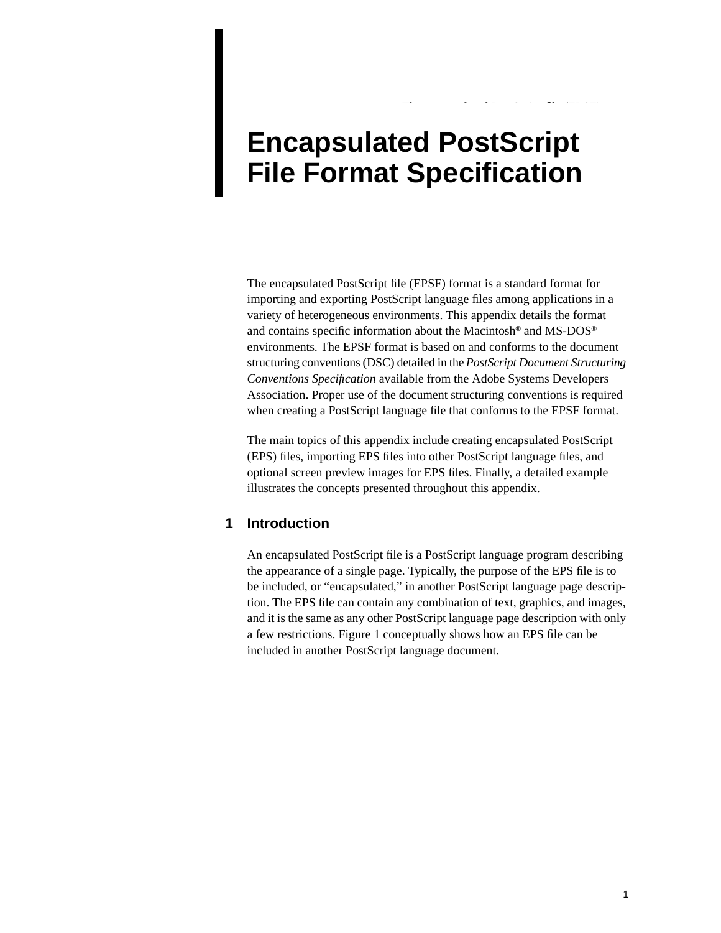# <span id="page-4-0"></span>ad PostScrint language f **Encapsulated PostScript File Format Specification**

The encapsulated PostScript file ( $\mathbb{R}^2$  ) for  $\mathbb{R}^2$  (EPSF) file (EPSF) file (EPSF) file (EPSF) file (EPSF) file (EPSF) file (EPSF) file (EPSF) file (EPSF) file (EPSF) file (EPSF) file (EPSF) file (EPSF) file (EP

The encapsulated PostScript file (EPSF) format is a standard format for importing and exporting PostScript language files among applications in a variety of heterogeneous environments. This appendix details the format and contains specific information about the Macintosh® and MS-DOS® environments. The EPSF format is based on and conforms to the document structuring conventions (DSC) detailed in the *PostScript Document Structuring Conventions Specification* available from the Adobe Systems Developers Association. Proper use of the document structuring conventions is required when creating a PostScript language file that conforms to the EPSF format.

The main topics of this appendix include creating encapsulated PostScript (EPS) files, importing EPS files into other PostScript language files, and optional screen preview images for EPS files. Finally, a detailed example illustrates the concepts presented throughout this appendix.

# **1 Introduction**

An encapsulated PostScript file is a PostScript language program describing the appearance of a single page. Typically, the purpose of the EPS file is to be included, or "encapsulated," in another PostScript language page description. The EPS file can contain any combination of text, graphics, and images, and it is the same as any other PostScript language page description with only a few restrictions. Figure 1 conceptually shows how an EPS file can be included in another PostScript language document.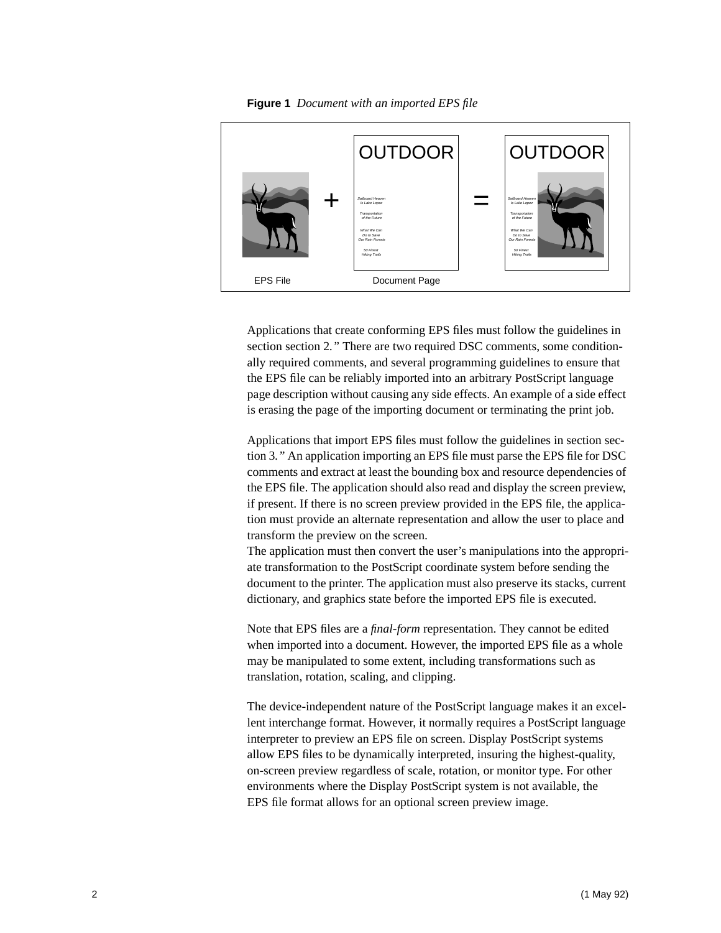

**Figure 1** *Document with an imported EPS file*

Applications that create conforming EPS files must follow the guidelines in section section 2*."* There are two required DSC comments, some conditionally required comments, and several programming guidelines to ensure that the EPS file can be reliably imported into an arbitrary PostScript language page description without causing any side effects. An example of a side effect is erasing the page of the importing document or terminating the print job.

Applications that import EPS files must follow the guidelines in section section 3*."* An application importing an EPS file must parse the EPS file for DSC comments and extract at least the bounding box and resource dependencies of the EPS file. The application should also read and display the screen preview, if present. If there is no screen preview provided in the EPS file, the application must provide an alternate representation and allow the user to place and transform the preview on the screen.

The application must then convert the user's manipulations into the appropriate transformation to the PostScript coordinate system before sending the document to the printer. The application must also preserve its stacks, current dictionary, and graphics state before the imported EPS file is executed.

Note that EPS files are a *final-form* representation. They cannot be edited when imported into a document. However, the imported EPS file as a whole may be manipulated to some extent, including transformations such as translation, rotation, scaling, and clipping.

The device-independent nature of the PostScript language makes it an excellent interchange format. However, it normally requires a PostScript language interpreter to preview an EPS file on screen. Display PostScript systems allow EPS files to be dynamically interpreted, insuring the highest-quality, on-screen preview regardless of scale, rotation, or monitor type. For other environments where the Display PostScript system is not available, the EPS file format allows for an optional screen preview image.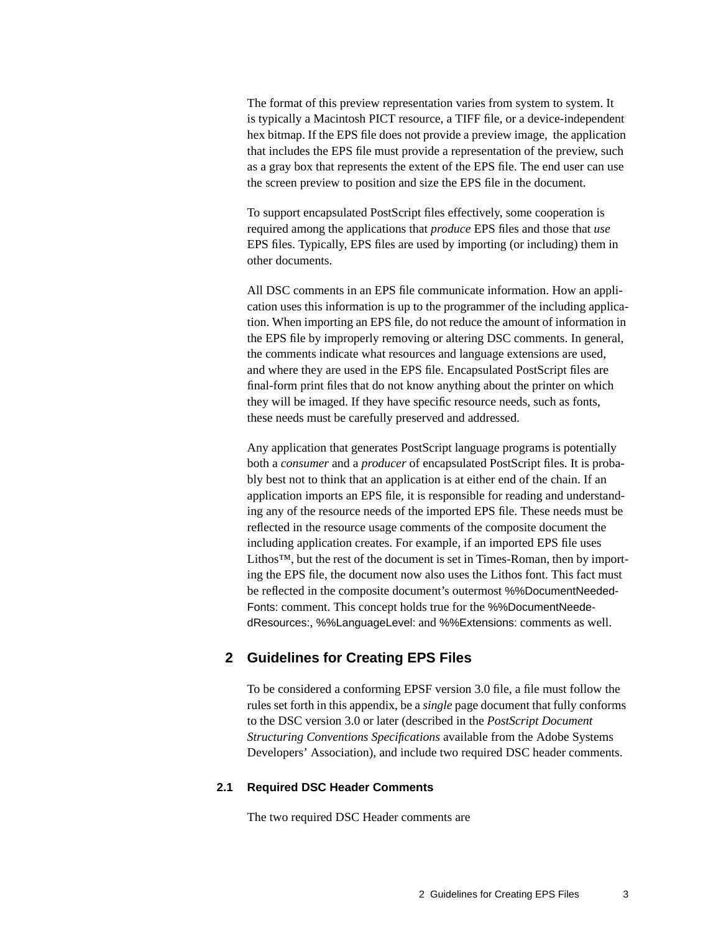<span id="page-6-0"></span>The format of this preview representation varies from system to system. It is typically a Macintosh PICT resource, a TIFF file, or a device-independent hex bitmap. If the EPS file does not provide a preview image, the application that includes the EPS file must provide a representation of the preview, such as a gray box that represents the extent of the EPS file. The end user can use the screen preview to position and size the EPS file in the document.

To support encapsulated PostScript files effectively, some cooperation is required among the applications that *produce* EPS files and those that *use* EPS files. Typically, EPS files are used by importing (or including) them in other documents.

All DSC comments in an EPS file communicate information. How an application uses this information is up to the programmer of the including application. When importing an EPS file, do not reduce the amount of information in the EPS file by improperly removing or altering DSC comments. In general, the comments indicate what resources and language extensions are used, and where they are used in the EPS file. Encapsulated PostScript files are final-form print files that do not know anything about the printer on which they will be imaged. If they have specific resource needs, such as fonts, these needs must be carefully preserved and addressed.

Any application that generates PostScript language programs is potentially both a *consumer* and a *producer* of encapsulated PostScript files. It is probably best not to think that an application is at either end of the chain. If an application imports an EPS file, it is responsible for reading and understanding any of the resource needs of the imported EPS file. These needs must be reflected in the resource usage comments of the composite document the including application creates. For example, if an imported EPS file uses Lithos™, but the rest of the document is set in Times-Roman, then by importing the EPS file, the document now also uses the Lithos font. This fact must be reflected in the composite document's outermost %%DocumentNeeded-Fonts: comment. This concept holds true for the %%DocumentNeededResources:, %%LanguageLevel: and %%Extensions: comments as well.

# **2 Guidelines for Creating EPS Files**

To be considered a conforming EPSF version 3.0 file, a file must follow the rules set forth in this appendix, be a *single* page document that fully conforms to the DSC version 3.0 or later (described in the *PostScript Document Structuring Conventions Specifications* available from the Adobe Systems Developers' Association), and include two required DSC header comments.

# **2.1 Required DSC Header Comments**

The two required DSC Header comments are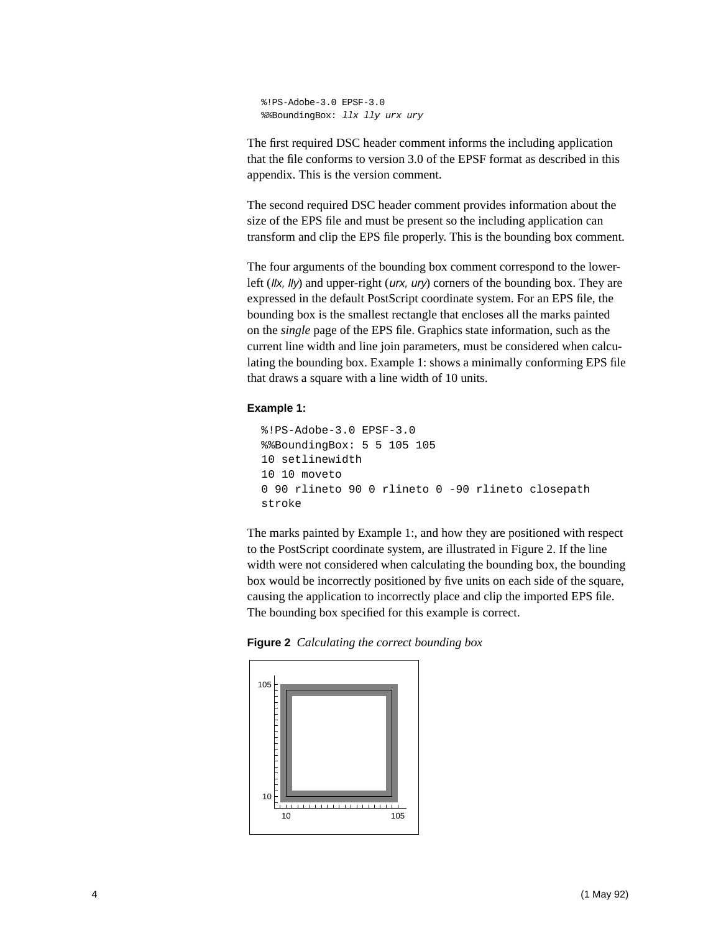```
%!PS-Adobe-3.0 EPSF-3.0
%%BoundingBox: llx lly urx ury
```
The first required DSC header comment informs the including application that the file conforms to version 3.0 of the EPSF format as described in this appendix. This is the version comment.

The second required DSC header comment provides information about the size of the EPS file and must be present so the including application can transform and clip the EPS file properly. This is the bounding box comment.

The four arguments of the bounding box comment correspond to the lowerleft (*llx, lly*) and upper-right (*urx, ury*) corners of the bounding box. They are expressed in the default PostScript coordinate system. For an EPS file, the bounding box is the smallest rectangle that encloses all the marks painted on the *single* page of the EPS file. Graphics state information, such as the current line width and line join parameters, must be considered when calculating the bounding box. Example 1: shows a minimally conforming EPS file that draws a square with a line width of 10 units.

# **Example 1:**

```
%!PS-Adobe-3.0 EPSF-3.0
%%BoundingBox: 5 5 105 105
10 setlinewidth
10 10 moveto
0 90 rlineto 90 0 rlineto 0 -90 rlineto closepath
stroke
```
The marks painted by Example 1:, and how they are positioned with respect to the PostScript coordinate system, are illustrated in Figure 2. If the line width were not considered when calculating the bounding box, the bounding box would be incorrectly positioned by five units on each side of the square, causing the application to incorrectly place and clip the imported EPS file. The bounding box specified for this example is correct.



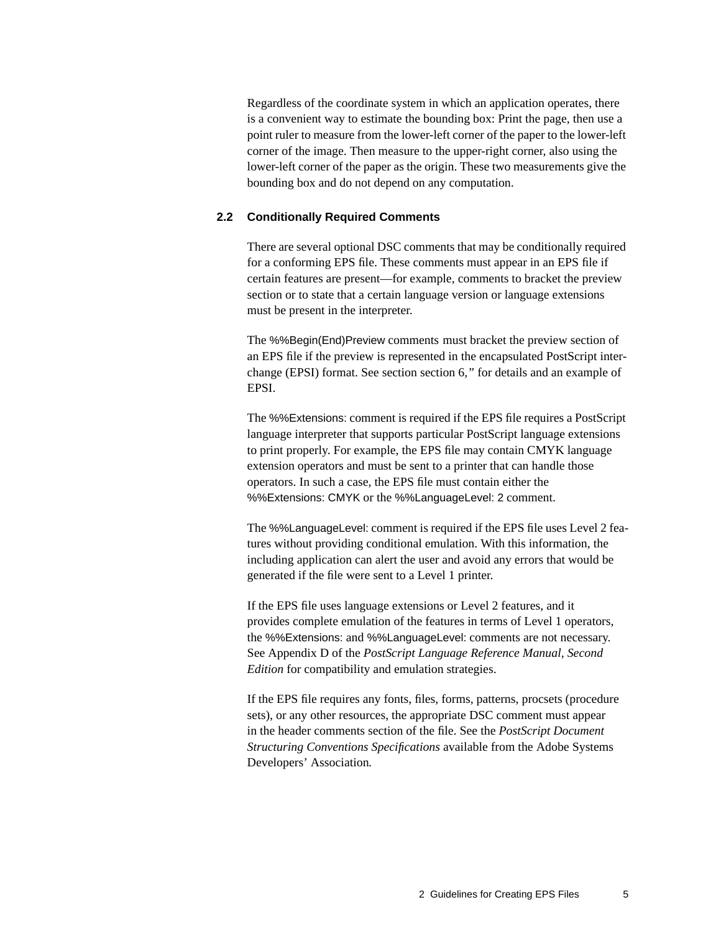<span id="page-8-0"></span>Regardless of the coordinate system in which an application operates, there is a convenient way to estimate the bounding box: Print the page, then use a point ruler to measure from the lower-left corner of the paper to the lower-left corner of the image. Then measure to the upper-right corner, also using the lower-left corner of the paper as the origin. These two measurements give the bounding box and do not depend on any computation.

# **2.2 Conditionally Required Comments**

There are several optional DSC comments that may be conditionally required for a conforming EPS file. These comments must appear in an EPS file if certain features are present—for example, comments to bracket the preview section or to state that a certain language version or language extensions must be present in the interpreter.

The %%Begin(End)Preview comments must bracket the preview section of an EPS file if the preview is represented in the encapsulated PostScript interchange (EPSI) format. See section section 6*,"* for details and an example of EPSI.

The %%Extensions: comment is required if the EPS file requires a PostScript language interpreter that supports particular PostScript language extensions to print properly. For example, the EPS file may contain CMYK language extension operators and must be sent to a printer that can handle those operators. In such a case, the EPS file must contain either the %%Extensions: CMYK or the %%LanguageLevel: 2 comment.

The %%LanguageLevel: comment is required if the EPS file uses Level 2 features without providing conditional emulation. With this information, the including application can alert the user and avoid any errors that would be generated if the file were sent to a Level 1 printer.

If the EPS file uses language extensions or Level 2 features, and it provides complete emulation of the features in terms of Level 1 operators, the %%Extensions: and %%LanguageLevel: comments are not necessary. See Appendix D of the *PostScript Language Reference Manual, Second Edition* for compatibility and emulation strategies.

If the EPS file requires any fonts, files, forms, patterns, procsets (procedure sets), or any other resources, the appropriate DSC comment must appear in the header comments section of the file. See the *PostScript Document Structuring Conventions Specifications* available from the Adobe Systems Developers' Association*.*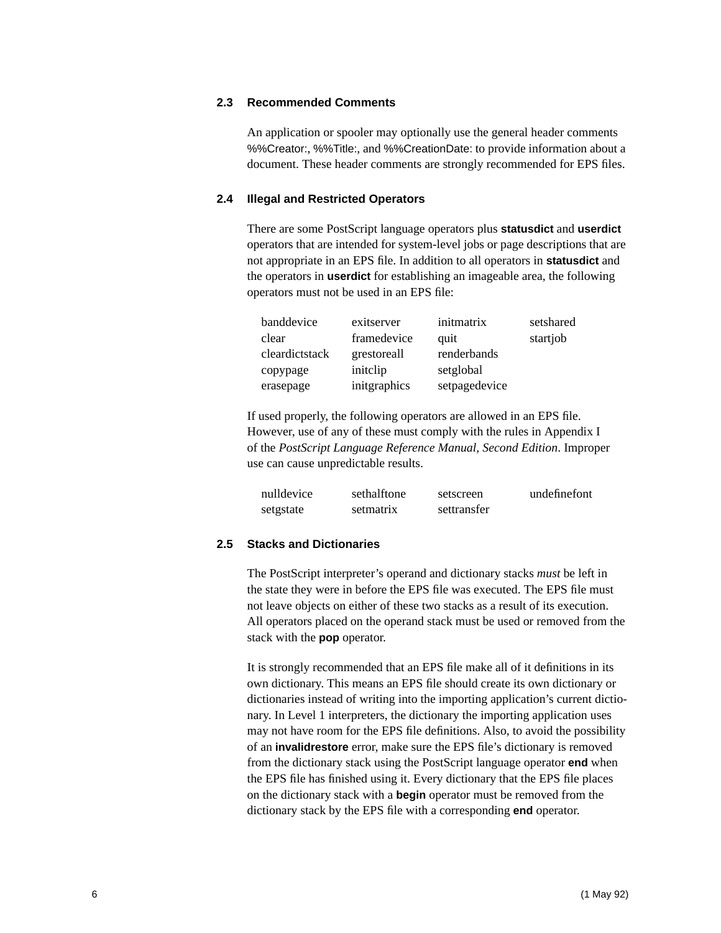## <span id="page-9-0"></span>**2.3 Recommended Comments**

An application or spooler may optionally use the general header comments %%Creator:, %%Title:, and %%CreationDate: to provide information about a document. These header comments are strongly recommended for EPS files.

## **2.4 Illegal and Restricted Operators**

There are some PostScript language operators plus **statusdict** and **userdict** operators that are intended for system-level jobs or page descriptions that are not appropriate in an EPS file. In addition to all operators in **statusdict** and the operators in **userdict** for establishing an imageable area, the following operators must not be used in an EPS file:

| banddevice     | exitserver   | initmatrix    | setshared |
|----------------|--------------|---------------|-----------|
| clear          | framedevice  | quit          | startjob  |
| cleardictstack | grestoreall  | renderbands   |           |
| copypage       | initclip     | setglobal     |           |
| erasepage      | initgraphics | setpagedevice |           |

If used properly, the following operators are allowed in an EPS file. However, use of any of these must comply with the rules in Appendix I of the *PostScript Language Reference Manual, Second Edition*. Improper use can cause unpredictable results.

| nulldevice | sethalftone | setscreen   | undefinefont |
|------------|-------------|-------------|--------------|
| setgstate  | setmatrix   | settransfer |              |

# **2.5 Stacks and Dictionaries**

The PostScript interpreter's operand and dictionary stacks *must* be left in the state they were in before the EPS file was executed. The EPS file must not leave objects on either of these two stacks as a result of its execution. All operators placed on the operand stack must be used or removed from the stack with the **pop** operator.

It is strongly recommended that an EPS file make all of it definitions in its own dictionary. This means an EPS file should create its own dictionary or dictionaries instead of writing into the importing application's current dictionary. In Level 1 interpreters, the dictionary the importing application uses may not have room for the EPS file definitions. Also, to avoid the possibility of an **invalidrestore** error, make sure the EPS file's dictionary is removed from the dictionary stack using the PostScript language operator **end** when the EPS file has finished using it. Every dictionary that the EPS file places on the dictionary stack with a **begin** operator must be removed from the dictionary stack by the EPS file with a corresponding **end** operator.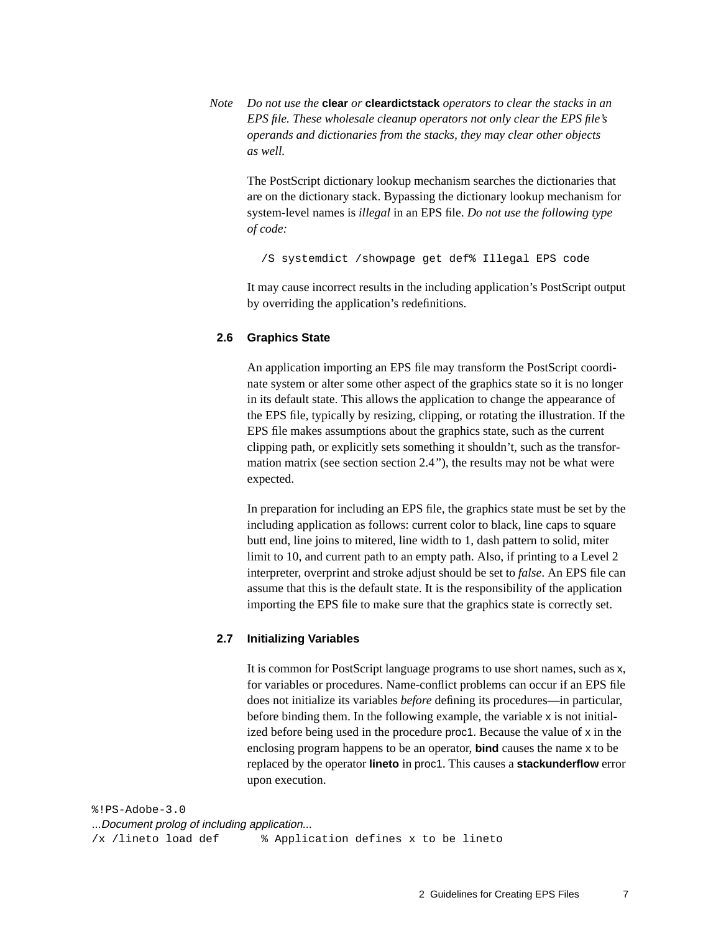<span id="page-10-0"></span>*Note Do not use the* **clear** *or* **cleardictstack** *operators to clear the stacks in an EPS file. These wholesale cleanup operators not only clear the EPS file's operands and dictionaries from the stacks, they may clear other objects as well.*

The PostScript dictionary lookup mechanism searches the dictionaries that are on the dictionary stack. Bypassing the dictionary lookup mechanism for system-level names is *illegal* in an EPS file. *Do not use the following type of code:*

/S systemdict /showpage get def% Illegal EPS code

It may cause incorrect results in the including application's PostScript output by overriding the application's redefinitions.

## **2.6 Graphics State**

An application importing an EPS file may transform the PostScript coordinate system or alter some other aspect of the graphics state so it is no longer in its default state. This allows the application to change the appearance of the EPS file, typically by resizing, clipping, or rotating the illustration. If the EPS file makes assumptions about the graphics state, such as the current clipping path, or explicitly sets something it shouldn't, such as the transformation matrix (see section section 2.4*"*), the results may not be what were expected.

In preparation for including an EPS file, the graphics state must be set by the including application as follows: current color to black, line caps to square butt end, line joins to mitered, line width to 1, dash pattern to solid, miter limit to 10, and current path to an empty path. Also, if printing to a Level 2 interpreter, overprint and stroke adjust should be set to *false*. An EPS file can assume that this is the default state. It is the responsibility of the application importing the EPS file to make sure that the graphics state is correctly set.

## **2.7 Initializing Variables**

It is common for PostScript language programs to use short names, such as x, for variables or procedures. Name-conflict problems can occur if an EPS file does not initialize its variables *before* defining its procedures—in particular, before binding them. In the following example, the variable x is not initialized before being used in the procedure proc1. Because the value of x in the enclosing program happens to be an operator, **bind** causes the name x to be replaced by the operator **lineto** in proc1. This causes a **stackunderflow** error upon execution.

%!PS-Adobe-3.0 ...Document prolog of including application... /x /lineto load def % Application defines x to be lineto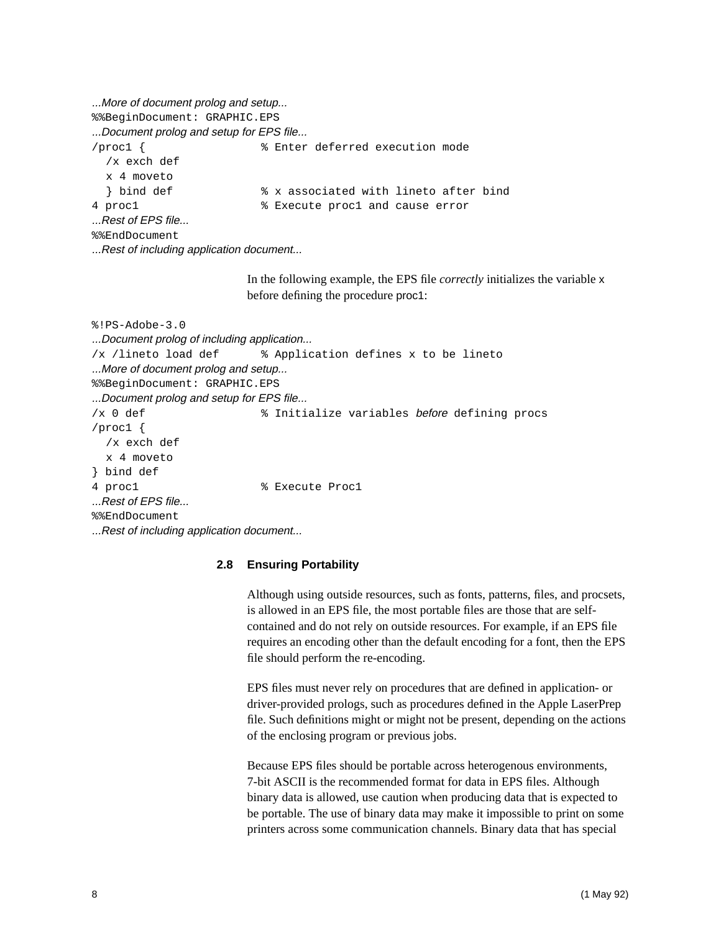```
...More of document prolog and setup...
%%BeginDocument: GRAPHIC.EPS
...Document prolog and setup for EPS file...
/proc1 { % Enter deferred execution mode
  /x exch def
 x 4 moveto
  } bind def % x associated with lineto after bind
4 proc1 % Execute proc1 and cause error
...Rest of EPS file...
%%EndDocument
...Rest of including application document...
```
In the following example, the EPS file *correctly* initializes the variable x before defining the procedure proc1:

```
%!PS-Adobe-3.0
...Document prolog of including application...
/x /lineto load def % Application defines x to be lineto
...More of document prolog and setup...
%%BeginDocument: GRAPHIC.EPS
...Document prolog and setup for EPS file...
/x 0 def \frac{1}{2} % Initialize variables before defining procs
/proc1 {
  /x exch def
  x 4 moveto
} bind def
4 proc1 % Execute Proc1
...Rest of EPS file...
%%EndDocument
...Rest of including application document...
```
# **2.8 Ensuring Portability**

Although using outside resources, such as fonts, patterns, files, and procsets, is allowed in an EPS file, the most portable files are those that are selfcontained and do not rely on outside resources. For example, if an EPS file requires an encoding other than the default encoding for a font, then the EPS file should perform the re-encoding.

EPS files must never rely on procedures that are defined in application- or driver-provided prologs, such as procedures defined in the Apple LaserPrep file. Such definitions might or might not be present, depending on the actions of the enclosing program or previous jobs.

Because EPS files should be portable across heterogenous environments, 7-bit ASCII is the recommended format for data in EPS files. Although binary data is allowed, use caution when producing data that is expected to be portable. The use of binary data may make it impossible to print on some printers across some communication channels. Binary data that has special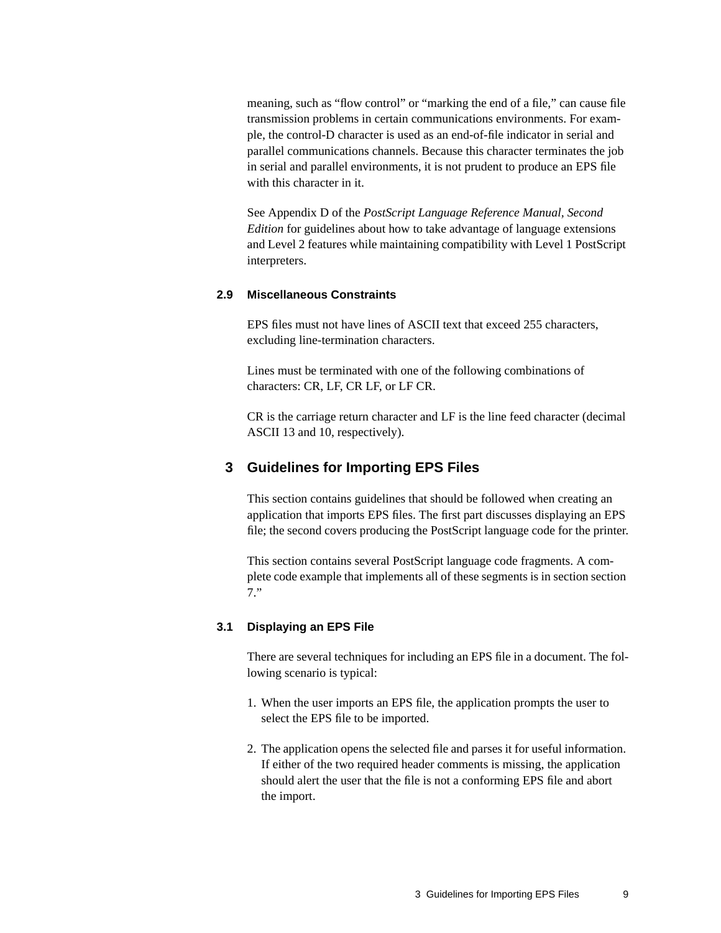<span id="page-12-0"></span>meaning, such as "flow control" or "marking the end of a file," can cause file transmission problems in certain communications environments. For example, the control-D character is used as an end-of-file indicator in serial and parallel communications channels. Because this character terminates the job in serial and parallel environments, it is not prudent to produce an EPS file with this character in it.

See Appendix D of the *PostScript Language Reference Manual, Second Edition* for guidelines about how to take advantage of language extensions and Level 2 features while maintaining compatibility with Level 1 PostScript interpreters.

# **2.9 Miscellaneous Constraints**

EPS files must not have lines of ASCII text that exceed 255 characters, excluding line-termination characters.

Lines must be terminated with one of the following combinations of characters: CR, LF, CR LF, or LF CR.

CR is the carriage return character and LF is the line feed character (decimal ASCII 13 and 10, respectively).

# **3 Guidelines for Importing EPS Files**

This section contains guidelines that should be followed when creating an application that imports EPS files. The first part discusses displaying an EPS file; the second covers producing the PostScript language code for the printer.

This section contains several PostScript language code fragments. A complete code example that implements all of these segments is in section section 7."

## **3.1 Displaying an EPS File**

There are several techniques for including an EPS file in a document. The following scenario is typical:

- 1. When the user imports an EPS file, the application prompts the user to select the EPS file to be imported.
- 2. The application opens the selected file and parses it for useful information. If either of the two required header comments is missing, the application should alert the user that the file is not a conforming EPS file and abort the import.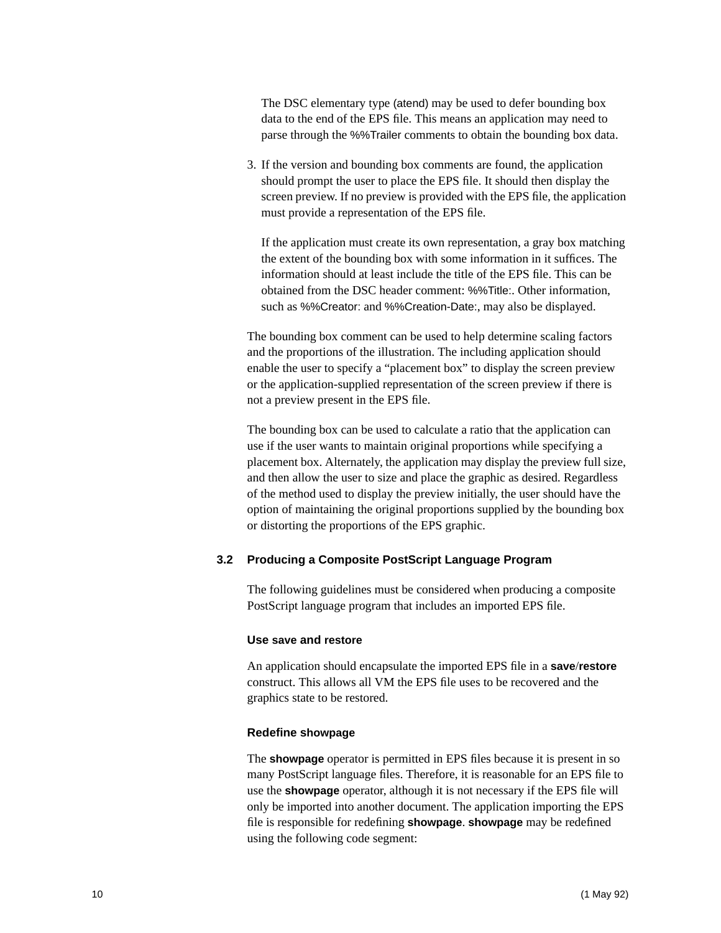<span id="page-13-0"></span>The DSC elementary type (atend) may be used to defer bounding box data to the end of the EPS file. This means an application may need to parse through the %%Trailer comments to obtain the bounding box data.

3. If the version and bounding box comments are found, the application should prompt the user to place the EPS file. It should then display the screen preview. If no preview is provided with the EPS file, the application must provide a representation of the EPS file.

If the application must create its own representation, a gray box matching the extent of the bounding box with some information in it suffices. The information should at least include the title of the EPS file. This can be obtained from the DSC header comment: %%Title:. Other information, such as %%Creator: and %%Creation-Date:, may also be displayed.

The bounding box comment can be used to help determine scaling factors and the proportions of the illustration. The including application should enable the user to specify a "placement box" to display the screen preview or the application-supplied representation of the screen preview if there is not a preview present in the EPS file.

The bounding box can be used to calculate a ratio that the application can use if the user wants to maintain original proportions while specifying a placement box. Alternately, the application may display the preview full size, and then allow the user to size and place the graphic as desired. Regardless of the method used to display the preview initially, the user should have the option of maintaining the original proportions supplied by the bounding box or distorting the proportions of the EPS graphic.

#### **3.2 Producing a Composite PostScript Language Program**

The following guidelines must be considered when producing a composite PostScript language program that includes an imported EPS file.

### **Use save and restore**

An application should encapsulate the imported EPS file in a **save**/**restore** construct. This allows all VM the EPS file uses to be recovered and the graphics state to be restored.

#### **Redefine showpage**

The **showpage** operator is permitted in EPS files because it is present in so many PostScript language files. Therefore, it is reasonable for an EPS file to use the **showpage** operator, although it is not necessary if the EPS file will only be imported into another document. The application importing the EPS file is responsible for redefining **showpage**. **showpage** may be redefined using the following code segment: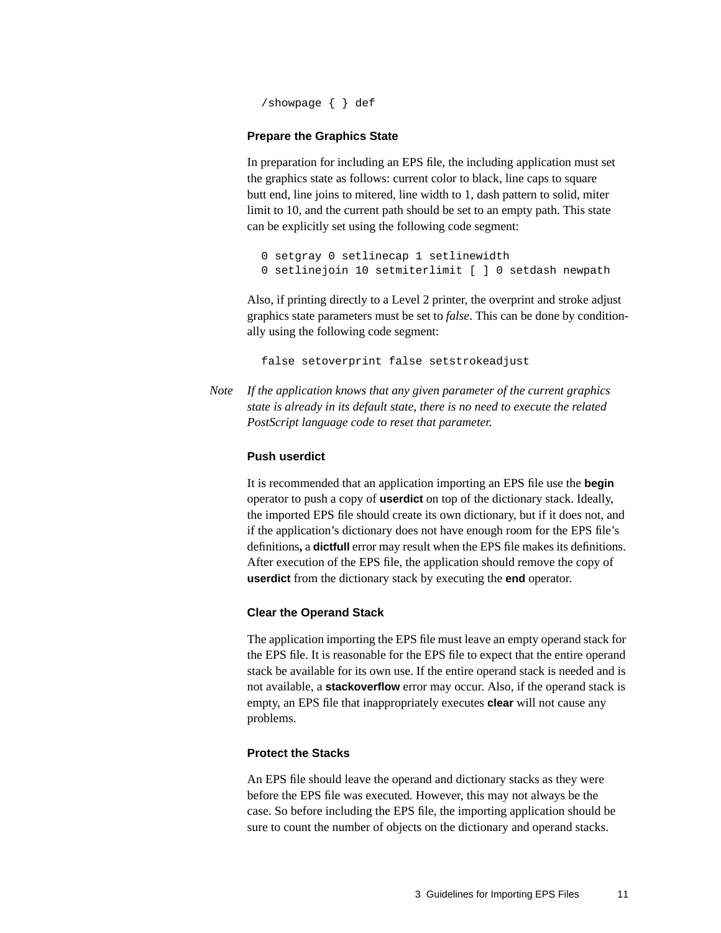/showpage { } def

## **Prepare the Graphics State**

In preparation for including an EPS file, the including application must set the graphics state as follows: current color to black, line caps to square butt end, line joins to mitered, line width to 1, dash pattern to solid, miter limit to 10, and the current path should be set to an empty path. This state can be explicitly set using the following code segment:

```
0 setgray 0 setlinecap 1 setlinewidth
0 setlinejoin 10 setmiterlimit [ ] 0 setdash newpath
```
Also, if printing directly to a Level 2 printer, the overprint and stroke adjust graphics state parameters must be set to *false*. This can be done by conditionally using the following code segment:

false setoverprint false setstrokeadjust

*Note If the application knows that any given parameter of the current graphics state is already in its default state, there is no need to execute the related PostScript language code to reset that parameter.*

#### **Push userdict**

It is recommended that an application importing an EPS file use the **begin** operator to push a copy of **userdict** on top of the dictionary stack. Ideally, the imported EPS file should create its own dictionary, but if it does not, and if the application's dictionary does not have enough room for the EPS file's definitions**,** a **dictfull** error may result when the EPS file makes its definitions. After execution of the EPS file, the application should remove the copy of **userdict** from the dictionary stack by executing the **end** operator.

#### **Clear the Operand Stack**

The application importing the EPS file must leave an empty operand stack for the EPS file. It is reasonable for the EPS file to expect that the entire operand stack be available for its own use. If the entire operand stack is needed and is not available, a **stackoverflow** error may occur. Also, if the operand stack is empty, an EPS file that inappropriately executes **clear** will not cause any problems.

#### **Protect the Stacks**

An EPS file should leave the operand and dictionary stacks as they were before the EPS file was executed. However, this may not always be the case. So before including the EPS file, the importing application should be sure to count the number of objects on the dictionary and operand stacks.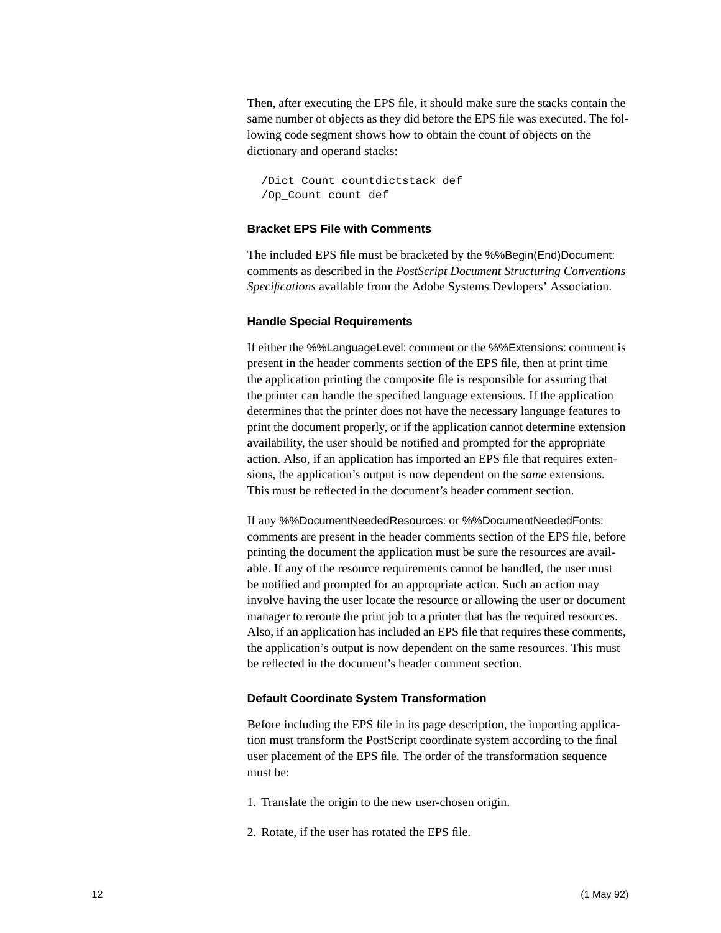Then, after executing the EPS file, it should make sure the stacks contain the same number of objects as they did before the EPS file was executed. The following code segment shows how to obtain the count of objects on the dictionary and operand stacks:

/Dict\_Count countdictstack def /Op\_Count count def

# **Bracket EPS File with Comments**

The included EPS file must be bracketed by the %%Begin(End)Document: comments as described in the *PostScript Document Structuring Conventions Specifications* available from the Adobe Systems Devlopers' Association.

## **Handle Special Requirements**

If either the %%LanguageLevel: comment or the %%Extensions: comment is present in the header comments section of the EPS file, then at print time the application printing the composite file is responsible for assuring that the printer can handle the specified language extensions. If the application determines that the printer does not have the necessary language features to print the document properly, or if the application cannot determine extension availability, the user should be notified and prompted for the appropriate action. Also, if an application has imported an EPS file that requires extensions, the application's output is now dependent on the *same* extensions. This must be reflected in the document's header comment section.

If any %%DocumentNeededResources: or %%DocumentNeededFonts: comments are present in the header comments section of the EPS file, before printing the document the application must be sure the resources are available. If any of the resource requirements cannot be handled, the user must be notified and prompted for an appropriate action. Such an action may involve having the user locate the resource or allowing the user or document manager to reroute the print job to a printer that has the required resources. Also, if an application has included an EPS file that requires these comments, the application's output is now dependent on the same resources. This must be reflected in the document's header comment section.

### **Default Coordinate System Transformation**

Before including the EPS file in its page description, the importing application must transform the PostScript coordinate system according to the final user placement of the EPS file. The order of the transformation sequence must be:

- 1. Translate the origin to the new user-chosen origin.
- 2. Rotate, if the user has rotated the EPS file.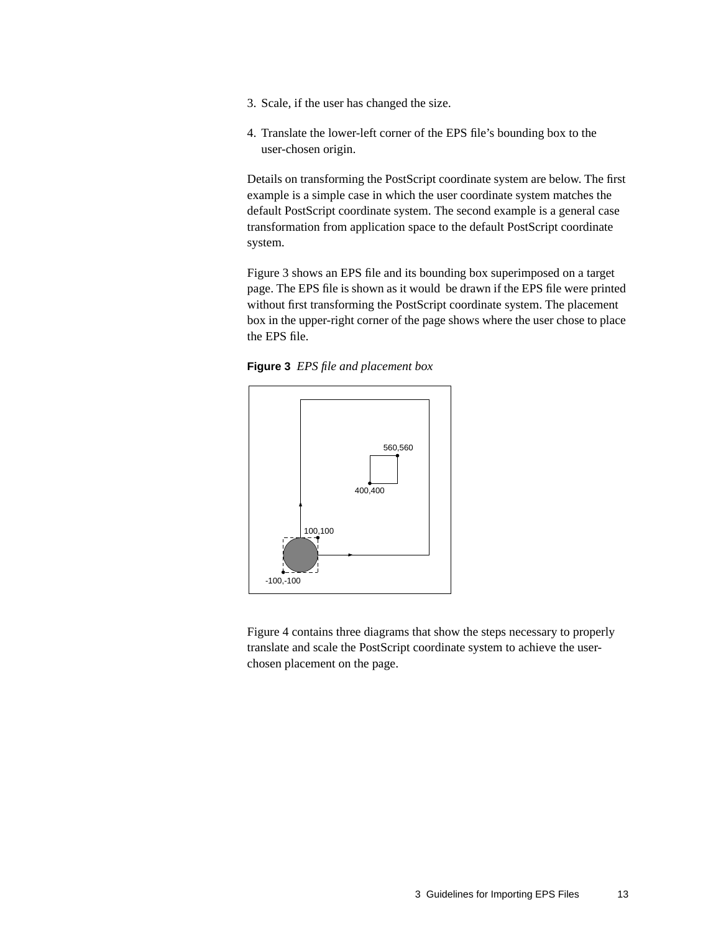- 3. Scale, if the user has changed the size.
- 4. Translate the lower-left corner of the EPS file's bounding box to the user-chosen origin.

Details on transforming the PostScript coordinate system are below. The first example is a simple case in which the user coordinate system matches the default PostScript coordinate system. The second example is a general case transformation from application space to the default PostScript coordinate system.

Figure 3 shows an EPS file and its bounding box superimposed on a target page. The EPS file is shown as it would be drawn if the EPS file were printed without first transforming the PostScript coordinate system. The placement box in the upper-right corner of the page shows where the user chose to place the EPS file.

**Figure 3** *EPS file and placement box*



Figure 4 contains three diagrams that show the steps necessary to properly translate and scale the PostScript coordinate system to achieve the userchosen placement on the page.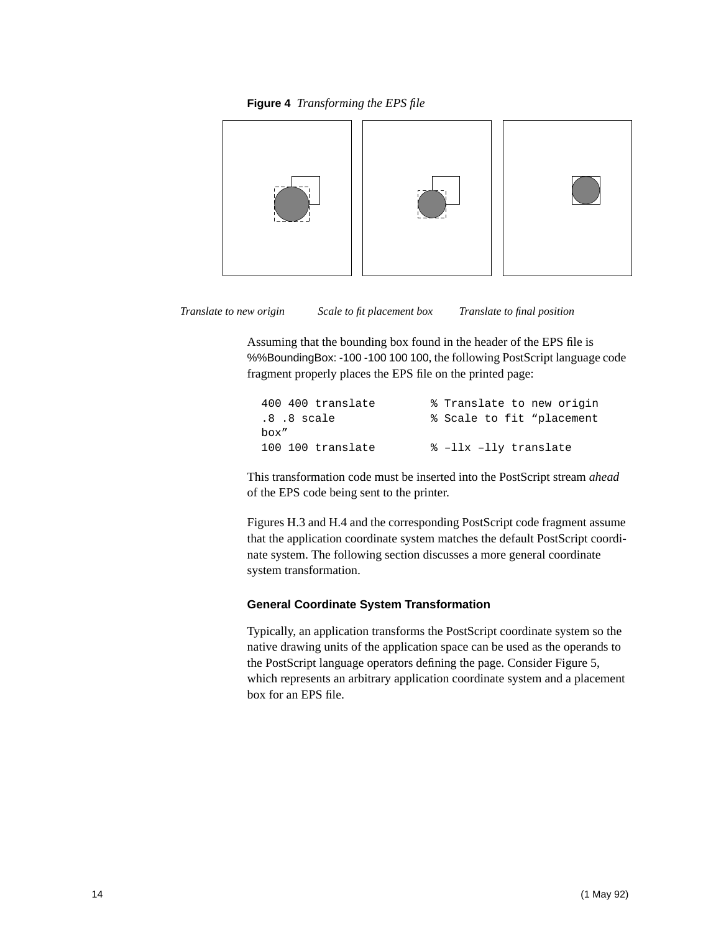**Figure 4** *Transforming the EPS file*



*Translate to new origin Scale to fit placement box Translate to final position*

Assuming that the bounding box found in the header of the EPS file is %%BoundingBox: -100 -100 100 100, the following PostScript language code fragment properly places the EPS file on the printed page:

| 400 400 translate   | % Translate to new origin  |
|---------------------|----------------------------|
| $.8$ $.8$ $.8$ $.8$ | % Scale to fit "placement" |
| box"                |                            |
| 100 100 translate   | % -llx -lly translate      |

This transformation code must be inserted into the PostScript stream *ahead* of the EPS code being sent to the printer.

Figures H.3 and H.4 and the corresponding PostScript code fragment assume that the application coordinate system matches the default PostScript coordinate system. The following section discusses a more general coordinate system transformation.

# **General Coordinate System Transformation**

Typically, an application transforms the PostScript coordinate system so the native drawing units of the application space can be used as the operands to the PostScript language operators defining the page. Consider Figure 5, which represents an arbitrary application coordinate system and a placement box for an EPS file.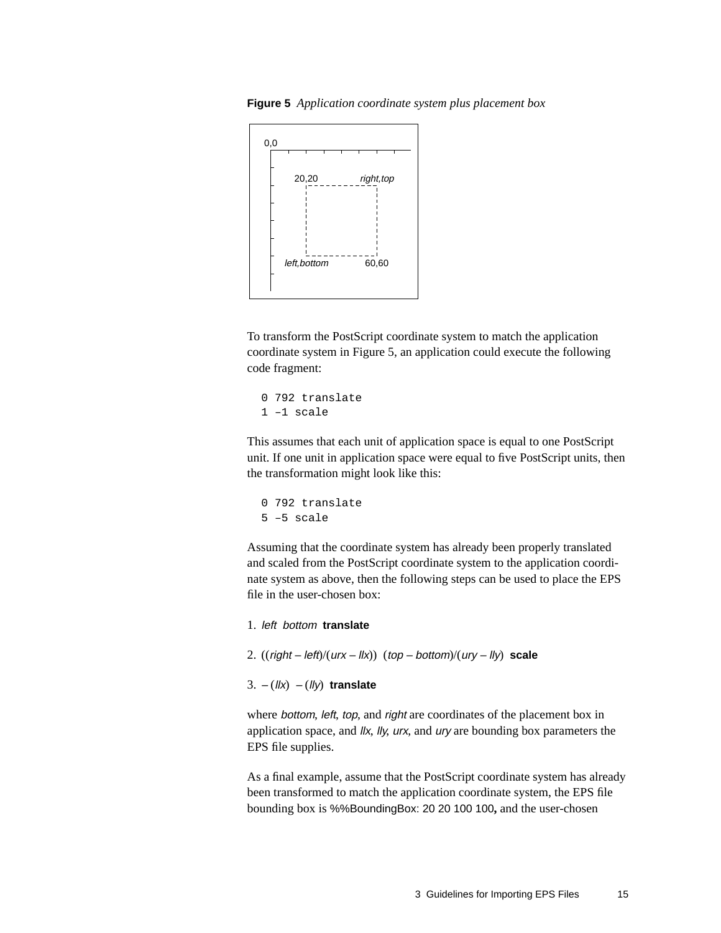

To transform the PostScript coordinate system to match the application coordinate system in Figure 5, an application could execute the following code fragment:

**Figure 5** *Application coordinate system plus placement box*

```
0 792 translate
1 –1 scale
```
This assumes that each unit of application space is equal to one PostScript unit. If one unit in application space were equal to five PostScript units, then the transformation might look like this:

0 792 translate 5 –5 scale

Assuming that the coordinate system has already been properly translated and scaled from the PostScript coordinate system to the application coordinate system as above, then the following steps can be used to place the EPS file in the user-chosen box:

#### 1. left bottom **translate**

2. ((right – left)/(urx – llx)) (top – bottom)/(ury – lly) **scale**

# 3. – (llx) – (lly) **translate**

where *bottom*, *left*, *top*, and *right* are coordinates of the placement box in application space, and *llx*, *lly*, *urx*, and *ury* are bounding box parameters the EPS file supplies.

As a final example, assume that the PostScript coordinate system has already been transformed to match the application coordinate system, the EPS file bounding box is %%BoundingBox: 20 20 100 100**,** and the user-chosen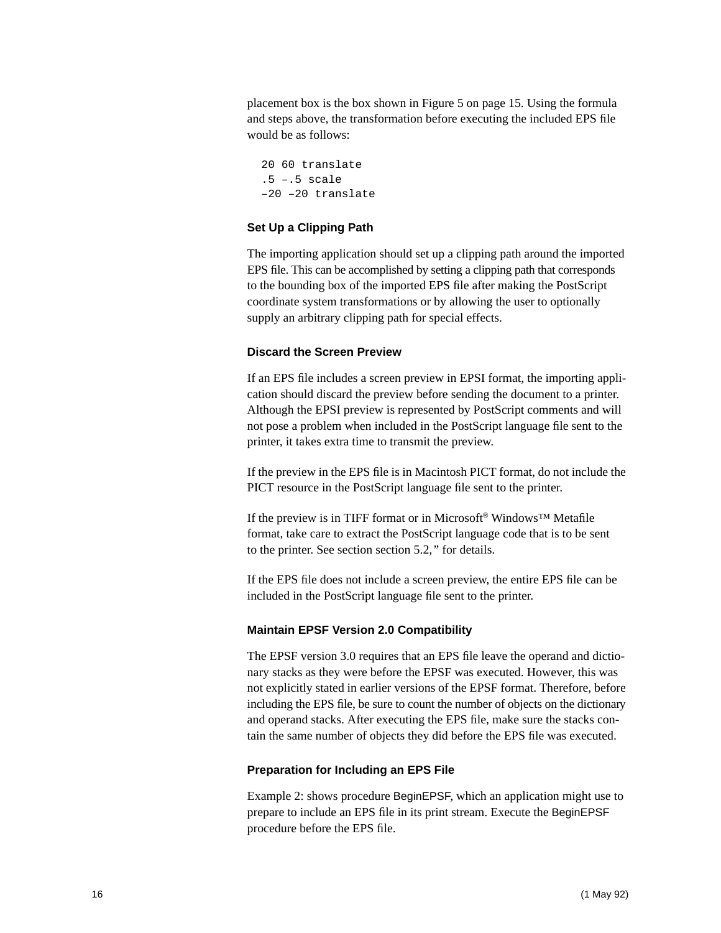placement box is the box shown in Figure 5 on page 15. Using the formula and steps above, the transformation before executing the included EPS file would be as follows:

```
20 60 translate
.5 –.5 scale
–20 –20 translate
```
# **Set Up a Clipping Path**

The importing application should set up a clipping path around the imported EPS file. This can be accomplished by setting a clipping path that corresponds to the bounding box of the imported EPS file after making the PostScript coordinate system transformations or by allowing the user to optionally supply an arbitrary clipping path for special effects.

# **Discard the Screen Preview**

If an EPS file includes a screen preview in EPSI format, the importing application should discard the preview before sending the document to a printer. Although the EPSI preview is represented by PostScript comments and will not pose a problem when included in the PostScript language file sent to the printer, it takes extra time to transmit the preview.

If the preview in the EPS file is in Macintosh PICT format, do not include the PICT resource in the PostScript language file sent to the printer.

If the preview is in TIFF format or in Microsoft® Windows™ Metafile format, take care to extract the PostScript language code that is to be sent to the printer. See section section 5.2*,"* for details.

If the EPS file does not include a screen preview, the entire EPS file can be included in the PostScript language file sent to the printer.

# **Maintain EPSF Version 2.0 Compatibility**

The EPSF version 3.0 requires that an EPS file leave the operand and dictionary stacks as they were before the EPSF was executed. However, this was not explicitly stated in earlier versions of the EPSF format. Therefore, before including the EPS file, be sure to count the number of objects on the dictionary and operand stacks. After executing the EPS file, make sure the stacks contain the same number of objects they did before the EPS file was executed.

# **Preparation for Including an EPS File**

Example 2: shows procedure BeginEPSF, which an application might use to prepare to include an EPS file in its print stream. Execute the BeginEPSF procedure before the EPS file.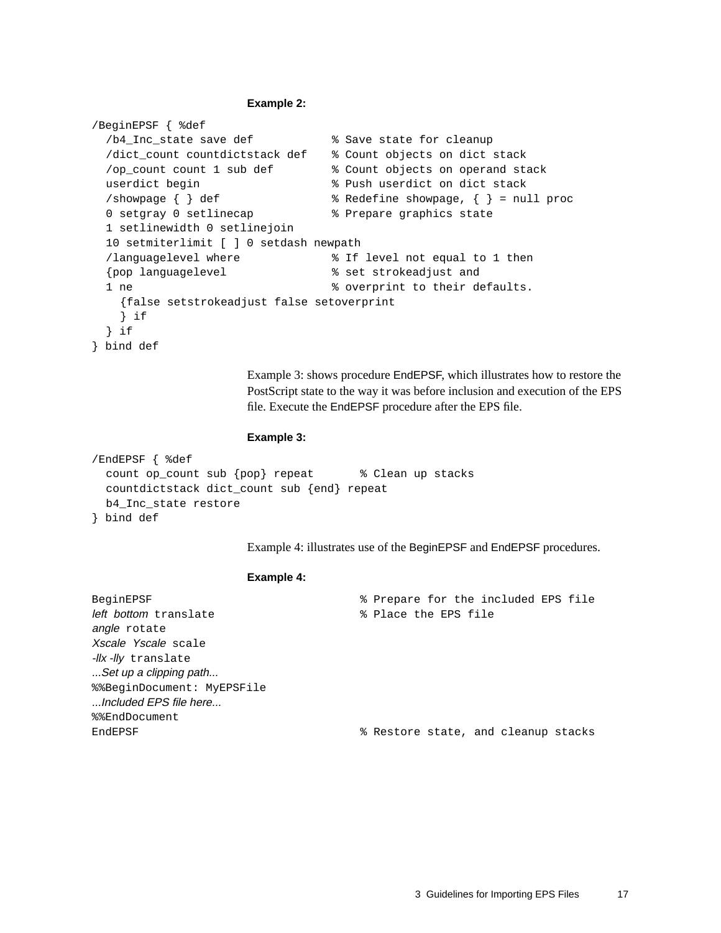#### **Example 2:**

```
/BeginEPSF { %def
 /b4 Inc state save def \frac{1}{2} & Save state for cleanup
 /dict_count countdictstack def % Count objects on dict stack
 /op_count count 1 sub def % Count objects on operand stack
 userdict begin % Push userdict on dict stack
 /showpage { } def % Redefine showpage, { } = null proc
 0 setgray 0 setlinecap 3 % Prepare graphics state
 1 setlinewidth 0 setlinejoin
 10 setmiterlimit [ ] 0 setdash newpath
 /languagelevel where % If level not equal to 1 then
 {pop languagelevel % set strokeadjust and
 1 ne \sim 8 overprint to their defaults.
   {false setstrokeadjust false setoverprint
   } if
 } if
} bind def
```
Example 3: shows procedure EndEPSF, which illustrates how to restore the PostScript state to the way it was before inclusion and execution of the EPS file. Execute the EndEPSF procedure after the EPS file.

#### **Example 3:**

```
/EndEPSF { %def
  count op_count sub {pop} repeat % Clean up stacks
  countdictstack dict_count sub {end} repeat
 b4_Inc_state restore
} bind def
```
Example 4: illustrates use of the BeginEPSF and EndEPSF procedures.

#### **Example 4:**

| BeginEPSF                  | % Prepare for the included EPS file |
|----------------------------|-------------------------------------|
| left bottom translate      | % Place the EPS file                |
| angle rotate               |                                     |
| Xscale Yscale scale        |                                     |
| -llx-lly translate         |                                     |
| Set up a clipping path     |                                     |
| %%BeginDocument: MyEPSFile |                                     |
| Included EPS file here     |                                     |
| %%EndDocument              |                                     |
| EndEPSF                    | % Restore state, and cleanup stacks |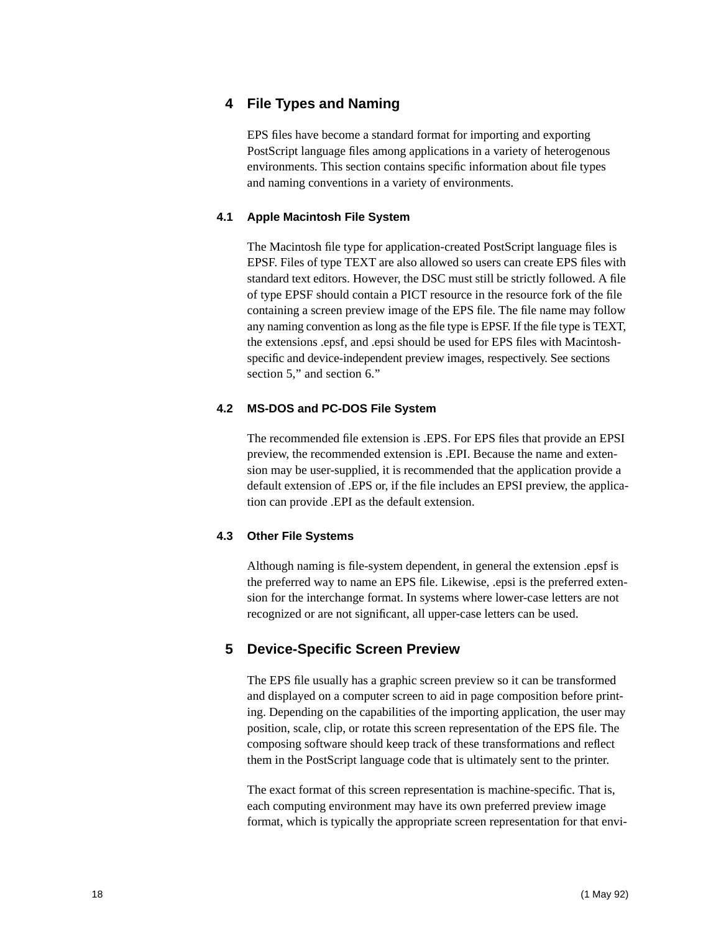# <span id="page-21-0"></span>**4 File Types and Naming**

EPS files have become a standard format for importing and exporting PostScript language files among applications in a variety of heterogenous environments. This section contains specific information about file types and naming conventions in a variety of environments.

# **4.1 Apple Macintosh File System**

The Macintosh file type for application-created PostScript language files is EPSF. Files of type TEXT are also allowed so users can create EPS files with standard text editors. However, the DSC must still be strictly followed. A file of type EPSF should contain a PICT resource in the resource fork of the file containing a screen preview image of the EPS file. The file name may follow any naming convention as long as the file type is EPSF. If the file type is TEXT, the extensions .epsf, and .epsi should be used for EPS files with Macintoshspecific and device-independent preview images, respectively. See sections section 5," and section 6."

# **4.2 MS-DOS and PC-DOS File System**

The recommended file extension is .EPS. For EPS files that provide an EPSI preview, the recommended extension is .EPI. Because the name and extension may be user-supplied, it is recommended that the application provide a default extension of .EPS or, if the file includes an EPSI preview, the application can provide .EPI as the default extension.

# **4.3 Other File Systems**

Although naming is file-system dependent, in general the extension .epsf is the preferred way to name an EPS file. Likewise, .epsi is the preferred extension for the interchange format. In systems where lower-case letters are not recognized or are not significant, all upper-case letters can be used.

# **5 Device-Specific Screen Preview**

The EPS file usually has a graphic screen preview so it can be transformed and displayed on a computer screen to aid in page composition before printing. Depending on the capabilities of the importing application, the user may position, scale, clip, or rotate this screen representation of the EPS file. The composing software should keep track of these transformations and reflect them in the PostScript language code that is ultimately sent to the printer.

The exact format of this screen representation is machine-specific. That is, each computing environment may have its own preferred preview image format, which is typically the appropriate screen representation for that envi-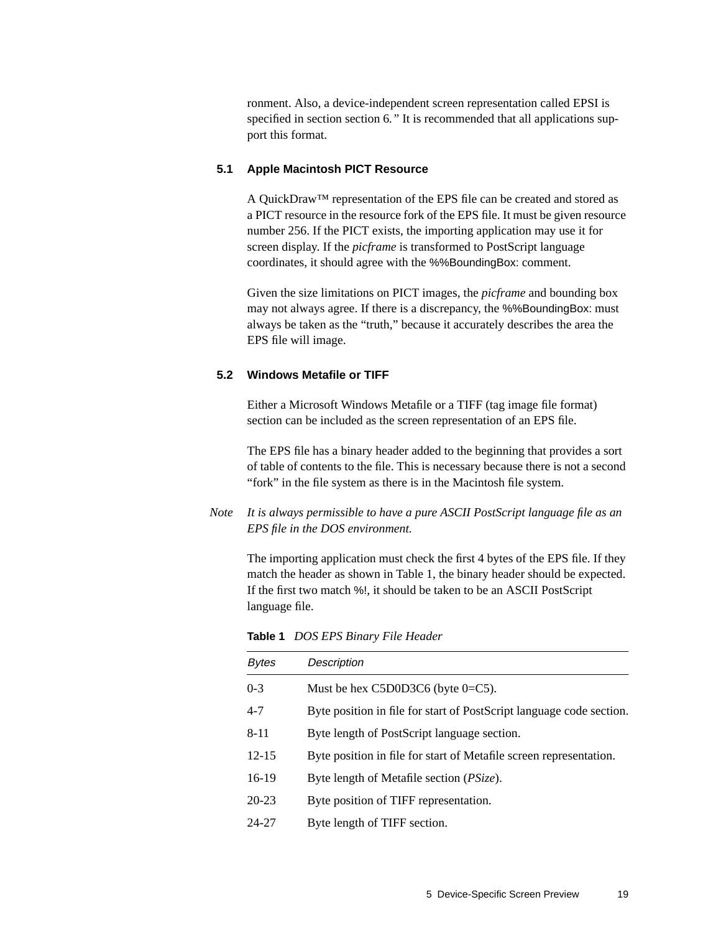<span id="page-22-0"></span>ronment. Also, a device-independent screen representation called EPSI is specified in section section 6*."* It is recommended that all applications support this format.

## **5.1 Apple Macintosh PICT Resource**

A QuickDraw™ representation of the EPS file can be created and stored as a PICT resource in the resource fork of the EPS file. It must be given resource number 256. If the PICT exists, the importing application may use it for screen display. If the *picframe* is transformed to PostScript language coordinates, it should agree with the %%BoundingBox: comment.

Given the size limitations on PICT images, the *picframe* and bounding box may not always agree. If there is a discrepancy, the %%BoundingBox: must always be taken as the "truth," because it accurately describes the area the EPS file will image.

# **5.2 Windows Metafile or TIFF**

Either a Microsoft Windows Metafile or a TIFF (tag image file format) section can be included as the screen representation of an EPS file.

The EPS file has a binary header added to the beginning that provides a sort of table of contents to the file. This is necessary because there is not a second "fork" in the file system as there is in the Macintosh file system.

*Note It is always permissible to have a pure ASCII PostScript language file as an EPS file in the DOS environment.*

The importing application must check the first 4 bytes of the EPS file. If they match the header as shown in Table 1, the binary header should be expected. If the first two match %!, it should be taken to be an ASCII PostScript language file.

| Bytes     | Description                                                          |
|-----------|----------------------------------------------------------------------|
| $0 - 3$   | Must be hex $C5D0D3C6$ (byte $0= C5$ ).                              |
| $4 - 7$   | Byte position in file for start of PostScript language code section. |
| $8 - 11$  | Byte length of PostScript language section.                          |
| $12 - 15$ | Byte position in file for start of Metafile screen representation.   |
| $16-19$   | Byte length of Metafile section ( <i>PSize</i> ).                    |
| $20 - 23$ | Byte position of TIFF representation.                                |
| 24-27     | Byte length of TIFF section.                                         |

**Table 1** *DOS EPS Binary File Header*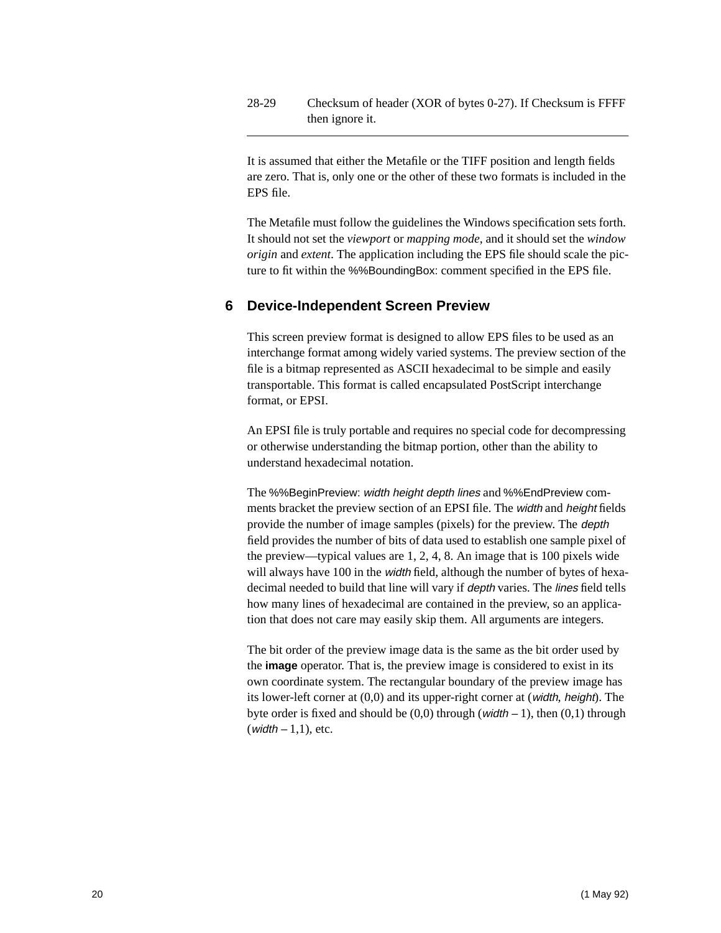<span id="page-23-0"></span>It is assumed that either the Metafile or the TIFF position and length fields are zero. That is, only one or the other of these two formats is included in the EPS file.

The Metafile must follow the guidelines the Windows specification sets forth. It should not set the *viewport* or *mapping mode*, and it should set the *window origin* and *extent*. The application including the EPS file should scale the picture to fit within the %%BoundingBox: comment specified in the EPS file.

# **6 Device-Independent Screen Preview**

This screen preview format is designed to allow EPS files to be used as an interchange format among widely varied systems. The preview section of the file is a bitmap represented as ASCII hexadecimal to be simple and easily transportable. This format is called encapsulated PostScript interchange format, or EPSI.

An EPSI file is truly portable and requires no special code for decompressing or otherwise understanding the bitmap portion, other than the ability to understand hexadecimal notation.

The %%BeginPreview: width height depth lines and %%EndPreview comments bracket the preview section of an EPSI file. The width and height fields provide the number of image samples (pixels) for the preview. The depth field provides the number of bits of data used to establish one sample pixel of the preview—typical values are 1, 2, 4, 8. An image that is 100 pixels wide will always have 100 in the *width* field, although the number of bytes of hexadecimal needed to build that line will vary if *depth* varies. The *lines* field tells how many lines of hexadecimal are contained in the preview, so an application that does not care may easily skip them. All arguments are integers.

The bit order of the preview image data is the same as the bit order used by the **image** operator. That is, the preview image is considered to exist in its own coordinate system. The rectangular boundary of the preview image has its lower-left corner at (0,0) and its upper-right corner at (width, height). The byte order is fixed and should be  $(0,0)$  through (width  $-1$ ), then  $(0,1)$  through  $(width - 1, 1)$ , etc.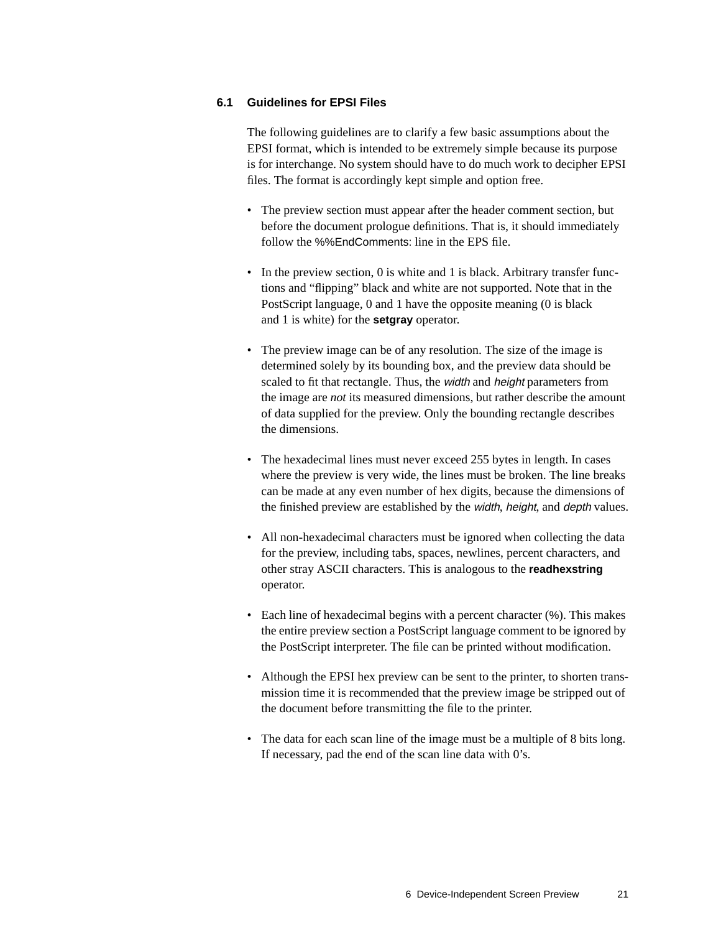## <span id="page-24-0"></span>**6.1 Guidelines for EPSI Files**

The following guidelines are to clarify a few basic assumptions about the EPSI format, which is intended to be extremely simple because its purpose is for interchange. No system should have to do much work to decipher EPSI files. The format is accordingly kept simple and option free.

- The preview section must appear after the header comment section, but before the document prologue definitions. That is, it should immediately follow the %%EndComments: line in the EPS file.
- In the preview section, 0 is white and 1 is black. Arbitrary transfer functions and "flipping" black and white are not supported. Note that in the PostScript language, 0 and 1 have the opposite meaning (0 is black and 1 is white) for the **setgray** operator.
- The preview image can be of any resolution. The size of the image is determined solely by its bounding box, and the preview data should be scaled to fit that rectangle. Thus, the width and height parameters from the image are *not* its measured dimensions, but rather describe the amount of data supplied for the preview. Only the bounding rectangle describes the dimensions.
- The hexadecimal lines must never exceed 255 bytes in length. In cases where the preview is very wide, the lines must be broken. The line breaks can be made at any even number of hex digits, because the dimensions of the finished preview are established by the width, height, and depth values.
- All non-hexadecimal characters must be ignored when collecting the data for the preview, including tabs, spaces, newlines, percent characters, and other stray ASCII characters. This is analogous to the **readhexstring** operator.
- Each line of hexadecimal begins with a percent character (%). This makes the entire preview section a PostScript language comment to be ignored by the PostScript interpreter. The file can be printed without modification.
- Although the EPSI hex preview can be sent to the printer, to shorten transmission time it is recommended that the preview image be stripped out of the document before transmitting the file to the printer.
- The data for each scan line of the image must be a multiple of 8 bits long. If necessary, pad the end of the scan line data with 0's.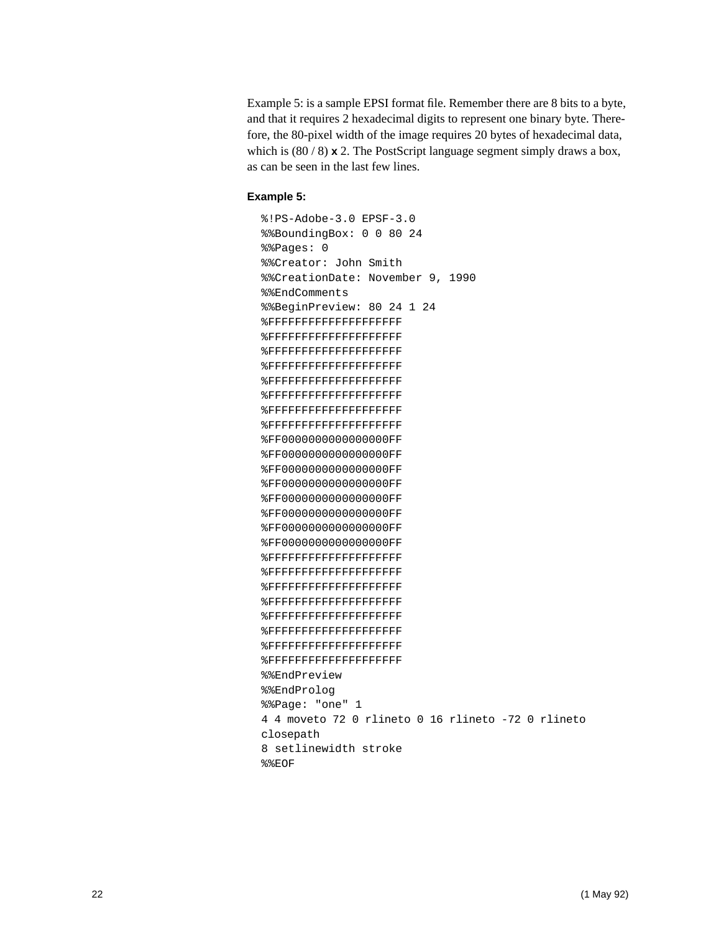Example 5: is a sample EPSI format file. Remember there are 8 bits to a byte, and that it requires 2 hexadecimal digits to represent one binary byte. Therefore, the 80-pixel width of the image requires 20 bytes of hexadecimal data, which is  $(80/8) \times 2$ . The PostScript language segment simply draws a box, as can be seen in the last few lines.

### **Example 5:**

```
%!PS-Adobe-3.0 EPSF-3.0
%%BoundingBox: 0 0 80 24
%%Pages: 0
%%Creator: John Smith
%%CreationDate: November 9, 1990
%%EndComments
%%BeginPreview: 80 24 1 24
%FFFFFFFFFFFFFFFFFFFF
%FFFFFFFFFFFFFFFFFFFF
%FFFFFFFFFFFFFFFFFFFF
%FFFFFFFFFFFFFFFFFFFF
%FFFFFFFFFFFFFFFFFFFF
%FFFFFFFFFFFFFFFFFFFF
%FFFFFFFFFFFFFFFFFFFF
%FFFFFFFFFFFFFFFFFFFF
%FF0000000000000000FF
%FF0000000000000000FF
%FF0000000000000000FF
%FF0000000000000000FF
%FF0000000000000000FF
%FF0000000000000000FF
%FF0000000000000000FF
%FF0000000000000000FF
%FFFFFFFFFFFFFFFFFFFF
%FFFFFFFFFFFFFFFFFFFF
%FFFFFFFFFFFFFFFFFFFF
%FFFFFFFFFFFFFFFFFFFF
%FFFFFFFFFFFFFFFFFFFF
%FFFFFFFFFFFFFFFFFFFF
%FFFFFFFFFFFFFFFFFFFF
%FFFFFFFFFFFFFFFFFFFF
%%EndPreview
%%EndProlog
%%Page: "one" 1
4 4 moveto 72 0 rlineto 0 16 rlineto -72 0 rlineto
closepath
8 setlinewidth stroke
%%EOF
```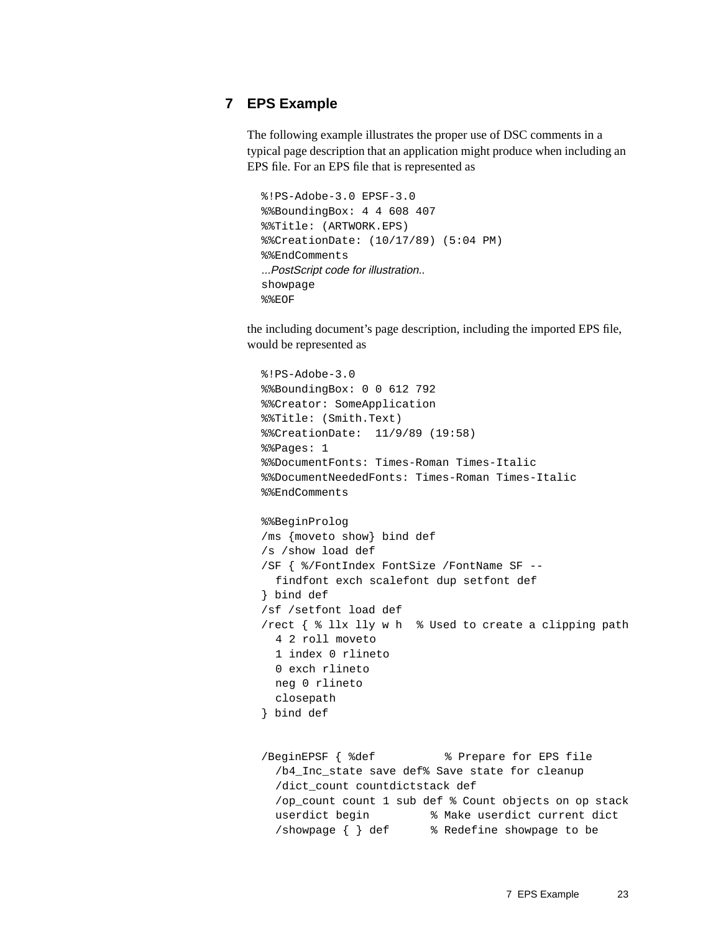# <span id="page-26-0"></span>**7 EPS Example**

The following example illustrates the proper use of DSC comments in a typical page description that an application might produce when including an EPS file. For an EPS file that is represented as

```
%!PS-Adobe-3.0 EPSF-3.0
%%BoundingBox: 4 4 608 407
%%Title: (ARTWORK.EPS)
%%CreationDate: (10/17/89) (5:04 PM)
%%EndComments
...PostScript code for illustration..
showpage
%%EOF
```
the including document's page description, including the imported EPS file, would be represented as

```
%!PS-Adobe-3.0
%%BoundingBox: 0 0 612 792
%%Creator: SomeApplication
%%Title: (Smith.Text)
%%CreationDate: 11/9/89 (19:58)
%%Pages: 1
%%DocumentFonts: Times-Roman Times-Italic
%%DocumentNeededFonts: Times-Roman Times-Italic
%%EndComments
%%BeginProlog
/ms {moveto show} bind def
/s /show load def
/SF { %/FontIndex FontSize /FontName SF --
 findfont exch scalefont dup setfont def
} bind def
/sf /setfont load def
/rect \{ \t i \in \mathbb{N} \mid i \neq j \} ised to create a clipping path
  4 2 roll moveto
  1 index 0 rlineto
  0 exch rlineto
  neg 0 rlineto
  closepath
} bind def
/BeginEPSF { %def % Prepare for EPS file
  /b4_Inc_state save def% Save state for cleanup
  /dict_count countdictstack def
  /op_count count 1 sub def % Count objects on op stack
  userdict begin <a>
8</a>
8</a>
Make userdict current dict
  /showpage { } def % Redefine showpage to be
```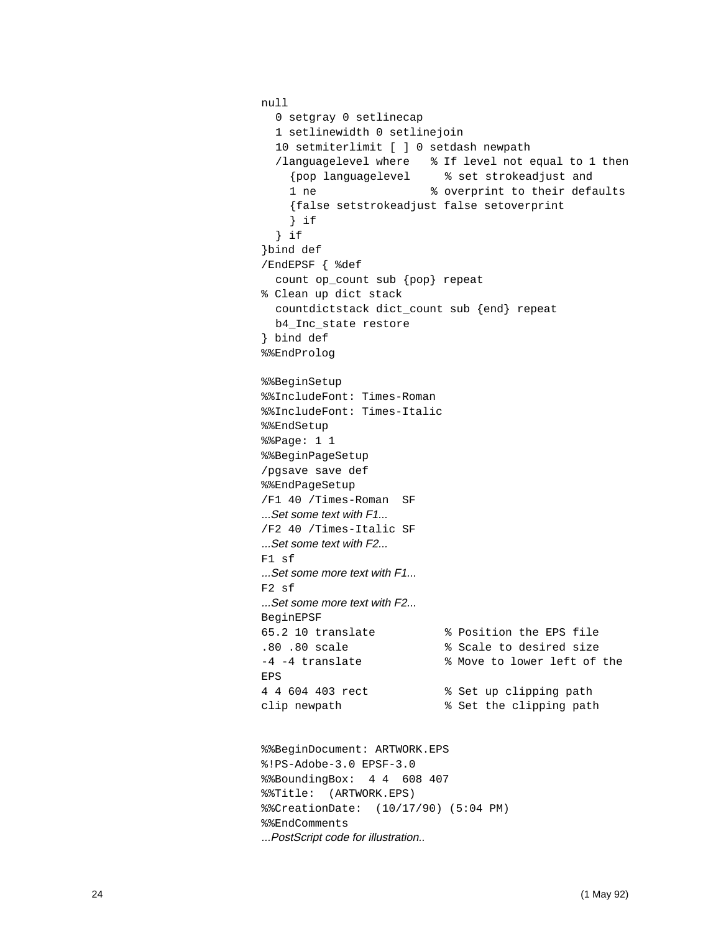```
null
  0 setgray 0 setlinecap
  1 setlinewidth 0 setlinejoin
  10 setmiterlimit [ ] 0 setdash newpath
  /languagelevel where % If level not equal to 1 then
    {pop languagelevel % set strokeadjust and
    1 ne \sim 8 overprint to their defaults
    {false setstrokeadjust false setoverprint
    } if
  } if
}bind def
/EndEPSF { %def
  count op_count sub {pop} repeat
% Clean up dict stack
  countdictstack dict_count sub {end} repeat
  b4_Inc_state restore
} bind def
%%EndProlog
%%BeginSetup
%%IncludeFont: Times-Roman
%%IncludeFont: Times-Italic
%%EndSetup
%%Page: 1 1
%%BeginPageSetup
/pgsave save def
%%EndPageSetup
/F1 40 /Times-Roman SF
...Set some text with F1...
/F2 40 /Times-Italic SF
...Set some text with F2...
F1 sf
...Set some more text with F1...
F2 sf
...Set some more text with F2...
BeginEPSF
65.2 10 translate % Position the EPS file
.80 .80 scale \frac{1}{2} & Scale to desired size
-4 -4 translate % Move to lower left of the
EPS
4 4 604 403 rect % Set up clipping path
clip newpath % Set the clipping path
%%BeginDocument: ARTWORK.EPS
%!PS-Adobe-3.0 EPSF-3.0
%%BoundingBox: 4 4 608 407
%%Title: (ARTWORK.EPS)
%%CreationDate: (10/17/90) (5:04 PM)
%%EndComments
...PostScript code for illustration..
```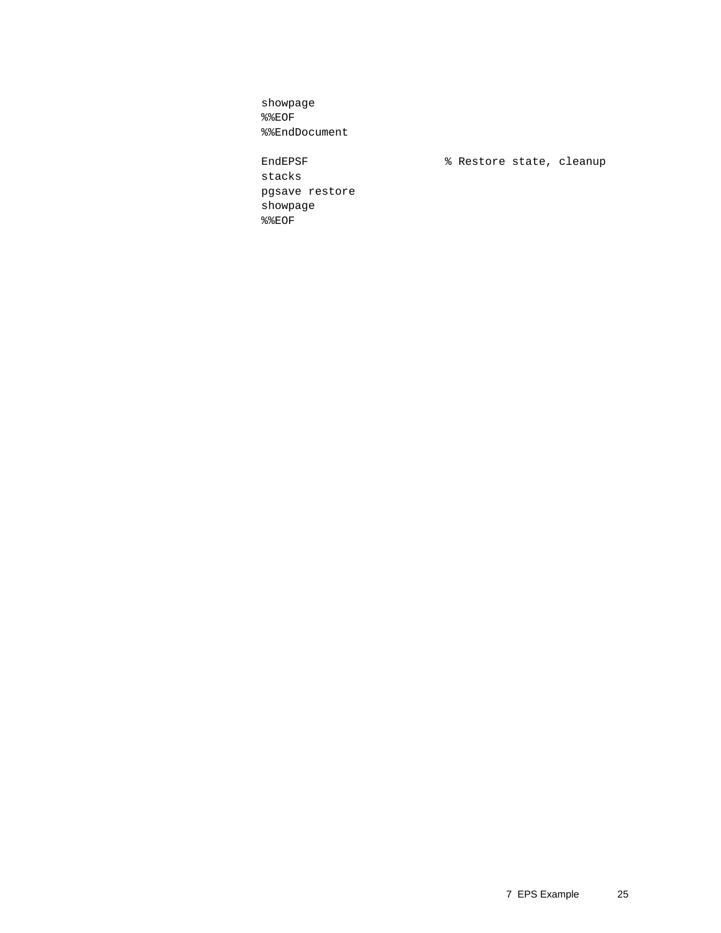showpage %%EOF %%EndDocument

stacks pgsave restore showpage  $$EOF$ 

EndEPSF  $\text{L}$  & Restore state, cleanup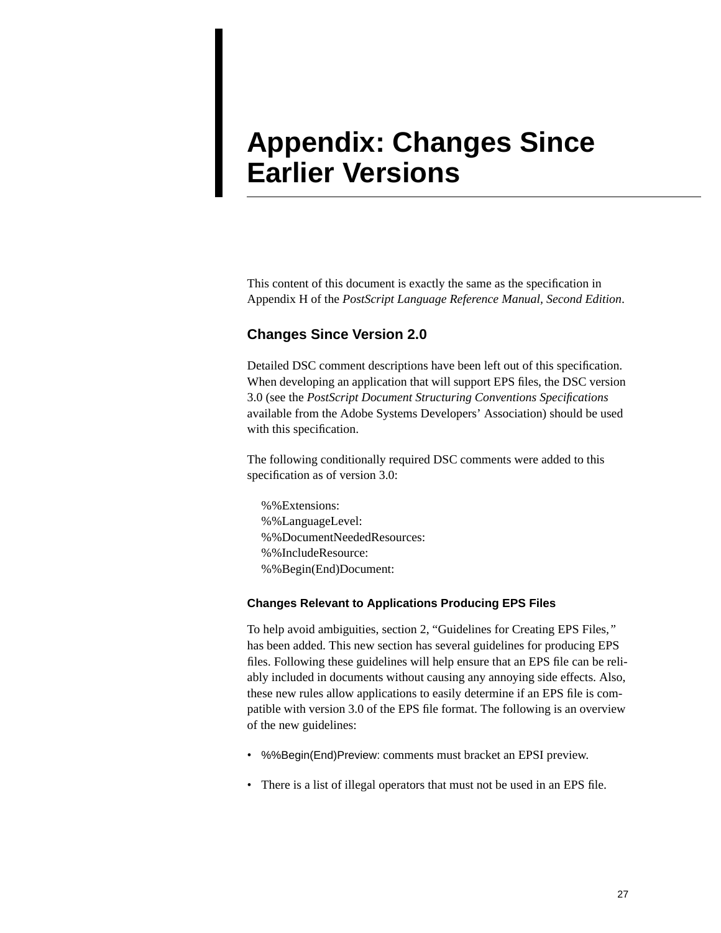# <span id="page-30-0"></span>**Appendix: Changes Since Earlier Versions**

This content of this document is exactly the same as the specification in Appendix H of the *PostScript Language Reference Manual, Second Edition*.

# **Changes Since Version 2.0**

Detailed DSC comment descriptions have been left out of this specification. When developing an application that will support EPS files, the DSC version 3.0 (see the *PostScript Document Structuring Conventions Specifications* available from the Adobe Systems Developers' Association) should be used with this specification.

The following conditionally required DSC comments were added to this specification as of version 3.0:

%%Extensions: %%LanguageLevel: %%DocumentNeededResources: %%IncludeResource: %%Begin(End)Document:

# **Changes Relevant to Applications Producing EPS Files**

To help avoid ambiguities, section 2, "Guidelines for Creating EPS Files*,"* has been added. This new section has several guidelines for producing EPS files. Following these guidelines will help ensure that an EPS file can be reliably included in documents without causing any annoying side effects. Also, these new rules allow applications to easily determine if an EPS file is compatible with version 3.0 of the EPS file format. The following is an overview of the new guidelines:

- %%Begin(End)Preview: comments must bracket an EPSI preview.
- There is a list of illegal operators that must not be used in an EPS file.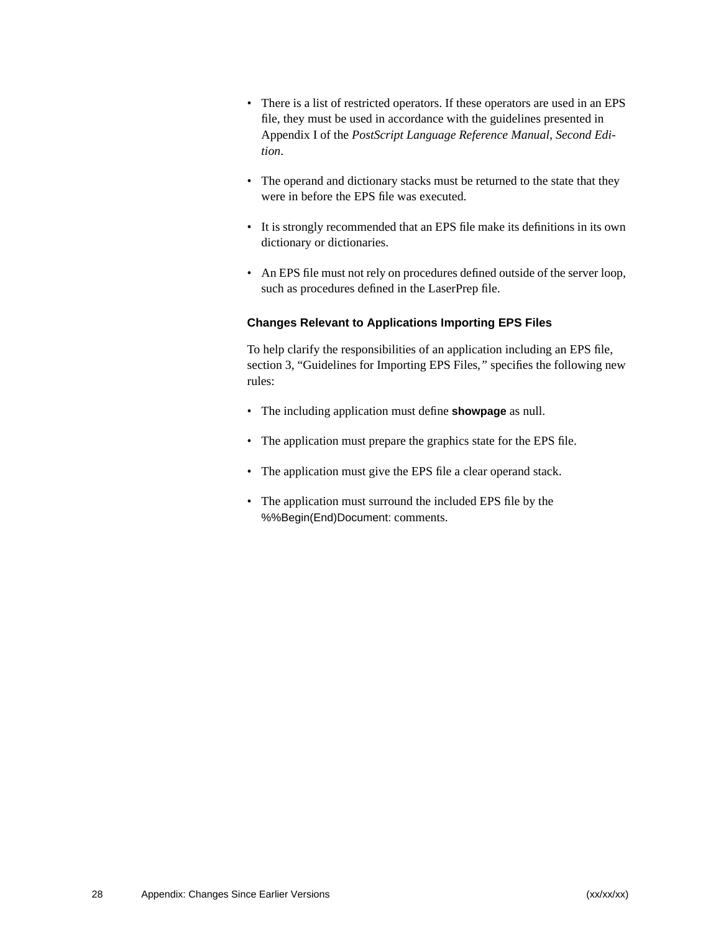- There is a list of restricted operators. If these operators are used in an EPS file, they must be used in accordance with the guidelines presented in Appendix I of the *PostScript Language Reference Manual, Second Edition*.
- The operand and dictionary stacks must be returned to the state that they were in before the EPS file was executed.
- It is strongly recommended that an EPS file make its definitions in its own dictionary or dictionaries.
- An EPS file must not rely on procedures defined outside of the server loop, such as procedures defined in the LaserPrep file.

# **Changes Relevant to Applications Importing EPS Files**

To help clarify the responsibilities of an application including an EPS file, section 3, "Guidelines for Importing EPS Files*,"* specifies the following new rules:

- The including application must define **showpage** as null.
- The application must prepare the graphics state for the EPS file.
- The application must give the EPS file a clear operand stack.
- The application must surround the included EPS file by the %%Begin(End)Document: comments.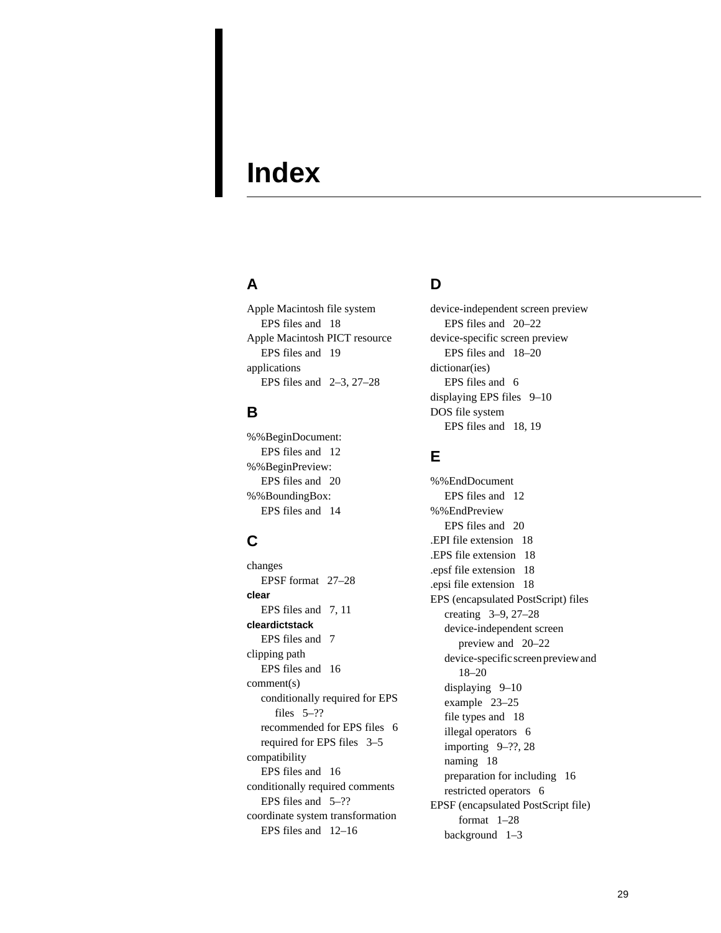# <span id="page-32-0"></span>**Index**

# **A**

Apple Macintosh file system EPS files and 18 Apple Macintosh PICT resource EPS files and 19 applications EPS files and 2–3, 27–28

# **B**

%%BeginDocument: EPS files and 12 %%BeginPreview: EPS files and 20 %%BoundingBox: EPS files and 14

# **C**

changes EPSF format 27–28 **clear** EPS files and 7, 11 **cleardictstack** EPS files and 7 clipping path EPS files and 16 comment(s) conditionally required for EPS files 5–?? recommended for EPS files 6 required for EPS files 3–5 compatibility EPS files and 16 conditionally required comments EPS files and 5–?? coordinate system transformation EPS files and 12–16

# **D**

device-independent screen preview EPS files and 20–22 device-specific screen preview EPS files and 18–20 dictionar(ies) EPS files and 6 displaying EPS files 9–10 DOS file system EPS files and 18, 19

# **E**

%%EndDocument EPS files and 12 %%EndPreview EPS files and 20 .EPI file extension 18 .EPS file extension 18 .epsf file extension 18 .epsi file extension 18 EPS (encapsulated PostScript) files creating 3–9, 27–28 device-independent screen preview and 20–22 device-specific screen preview and 18–20 displaying 9–10 example 23–25 file types and 18 illegal operators 6 importing 9–??, 28 naming 18 preparation for including 16 restricted operators 6 EPSF (encapsulated PostScript file) format 1–28 background 1–3